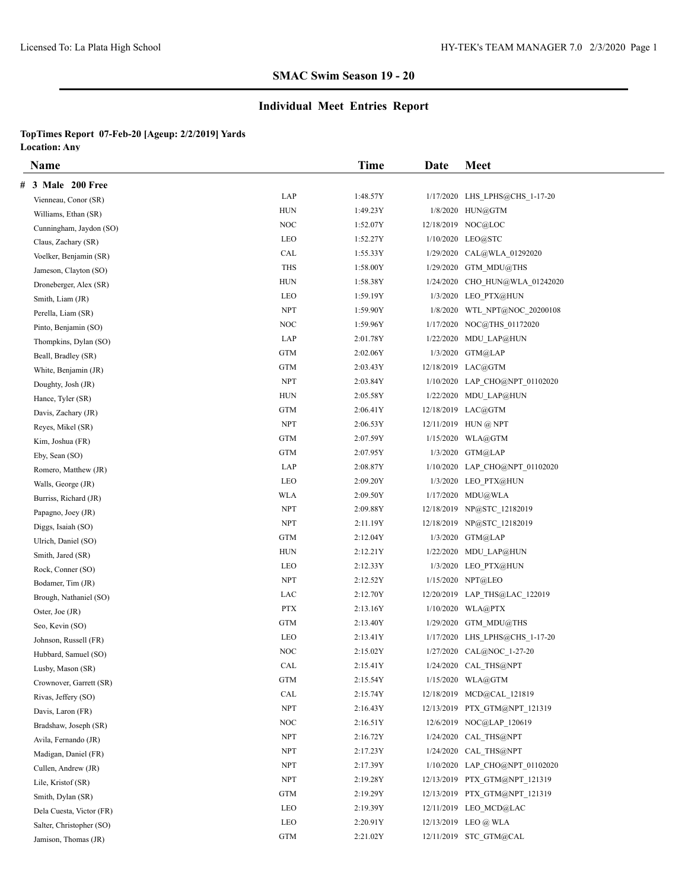# **Individual Meet Entries Report**

|   | <b>Name</b>              |                                  | <b>Time</b> | Date | <b>Meet</b>                    |
|---|--------------------------|----------------------------------|-------------|------|--------------------------------|
| # | 3 Male 200 Free          |                                  |             |      |                                |
|   | Vienneau, Conor (SR)     | LAP                              | 1:48.57Y    |      | 1/17/2020 LHS LPHS@CHS 1-17-20 |
|   | Williams, Ethan (SR)     | <b>HUN</b>                       | 1:49.23Y    |      | 1/8/2020 HUN@GTM               |
|   | Cunningham, Jaydon (SO)  | NOC                              | 1:52.07Y    |      | 12/18/2019 NOC@LOC             |
|   | Claus, Zachary (SR)      | LEO                              | 1:52.27Y    |      | 1/10/2020 LEO@STC              |
|   | Voelker, Benjamin (SR)   | CAL                              | 1:55.33Y    |      | 1/29/2020 CAL@WLA 01292020     |
|   | Jameson, Clayton (SO)    | <b>THS</b>                       | 1:58.00Y    |      | $1/29/2020$ GTM MDU@THS        |
|   | Droneberger, Alex (SR)   | <b>HUN</b>                       | 1:58.38Y    |      | 1/24/2020 CHO HUN@WLA 01242020 |
|   | Smith, Liam (JR)         | LEO                              | 1:59.19Y    |      | 1/3/2020 LEO PTX@HUN           |
|   | Perella, Liam (SR)       | <b>NPT</b>                       | 1:59.90Y    |      | 1/8/2020 WTL NPT@NOC 20200108  |
|   | Pinto, Benjamin (SO)     | <b>NOC</b>                       | 1:59.96Y    |      | 1/17/2020 NOC@THS 01172020     |
|   | Thompkins, Dylan (SO)    | LAP                              | 2:01.78Y    |      | 1/22/2020 MDU LAP@HUN          |
|   | Beall, Bradley (SR)      | <b>GTM</b>                       | 2:02.06Y    |      | 1/3/2020 GTM@LAP               |
|   | White, Benjamin (JR)     | <b>GTM</b>                       | 2:03.43Y    |      | 12/18/2019 LAC@GTM             |
|   | Doughty, Josh (JR)       | <b>NPT</b>                       | 2:03.84Y    |      | 1/10/2020 LAP CHO@NPT 01102020 |
|   | Hance, Tyler (SR)        | <b>HUN</b>                       | 2:05.58Y    |      | 1/22/2020 MDU LAP@HUN          |
|   | Davis, Zachary (JR)      | <b>GTM</b>                       | 2:06.41Y    |      | 12/18/2019 LAC@GTM             |
|   | Reyes, Mikel (SR)        | <b>NPT</b>                       | 2:06.53Y    |      | 12/11/2019 HUN @ NPT           |
|   | Kim, Joshua (FR)         | <b>GTM</b>                       | 2:07.59Y    |      | 1/15/2020 WLA@GTM              |
|   | Eby, Sean (SO)           | <b>GTM</b>                       | 2:07.95Y    |      | 1/3/2020 GTM@LAP               |
|   | Romero, Matthew (JR)     | LAP                              | 2:08.87Y    |      | 1/10/2020 LAP CHO@NPT 01102020 |
|   | Walls, George (JR)       | LEO                              | 2:09.20Y    |      | 1/3/2020 LEO PTX@HUN           |
|   | Burriss, Richard (JR)    | <b>WLA</b>                       | 2:09.50Y    |      | 1/17/2020 MDU@WLA              |
|   | Papagno, Joey (JR)       | <b>NPT</b>                       | 2:09.88Y    |      | 12/18/2019 NP@STC 12182019     |
|   | Diggs, Isaiah (SO)       | <b>NPT</b>                       | 2:11.19Y    |      | 12/18/2019 NP@STC 12182019     |
|   | Ulrich, Daniel (SO)      | <b>GTM</b>                       | 2:12.04Y    |      | 1/3/2020 GTM@LAP               |
|   | Smith, Jared (SR)        | <b>HUN</b>                       | 2:12.21Y    |      | 1/22/2020 MDU_LAP@HUN          |
|   | Rock, Conner (SO)        | LEO                              | 2:12.33Y    |      | 1/3/2020 LEO PTX@HUN           |
|   | Bodamer, Tim (JR)        | <b>NPT</b>                       | 2:12.52Y    |      | 1/15/2020 NPT@LEO              |
|   | Brough, Nathaniel (SO)   | LAC                              | 2:12.70Y    |      | 12/20/2019 LAP THS@LAC 122019  |
|   | Oster, Joe (JR)          | <b>PTX</b>                       | 2:13.16Y    |      | 1/10/2020 WLA@PTX              |
|   | Seo, Kevin (SO)          | <b>GTM</b>                       | 2:13.40Y    |      | $1/29/2020$ GTM MDU@THS        |
|   | Johnson, Russell (FR)    | LEO                              | 2:13.41Y    |      | 1/17/2020 LHS LPHS@CHS 1-17-20 |
|   | Hubbard, Samuel (SO)     | NOC                              | 2:15.02Y    |      | 1/27/2020 CAL@NOC 1-27-20      |
|   | Lusby, Mason (SR)        | CAL                              | 2:15.41Y    |      | 1/24/2020 CAL_THS@NPT          |
|   | Crownover, Garrett (SR)  | GTM                              | 2:15.54Y    |      | $1/15/2020$ WLA@GTM            |
|   | Rivas, Jeffery (SO)      | $\ensuremath{\text{CAL}}\xspace$ | 2:15.74Y    |      | 12/18/2019 MCD@CAL 121819      |
|   | Davis, Laron (FR)        | <b>NPT</b>                       | 2:16.43Y    |      | 12/13/2019 PTX GTM@NPT 121319  |
|   | Bradshaw, Joseph (SR)    | <b>NOC</b>                       | 2:16.51Y    |      | 12/6/2019 NOC@LAP 120619       |
|   | Avila, Fernando (JR)     | <b>NPT</b>                       | 2:16.72Y    |      | 1/24/2020 CAL THS@NPT          |
|   | Madigan, Daniel (FR)     | <b>NPT</b>                       | 2:17.23Y    |      | 1/24/2020 CAL THS@NPT          |
|   | Cullen, Andrew (JR)      | NPT                              | 2:17.39Y    |      | 1/10/2020 LAP_CHO@NPT_01102020 |
|   | Lile, Kristof (SR)       | <b>NPT</b>                       | 2:19.28Y    |      | 12/13/2019 PTX GTM@NPT 121319  |
|   | Smith, Dylan (SR)        | GTM                              | 2:19.29Y    |      | 12/13/2019 PTX GTM@NPT 121319  |
|   | Dela Cuesta, Victor (FR) | LEO                              | 2:19.39Y    |      | 12/11/2019 LEO MCD@LAC         |
|   | Salter, Christopher (SO) | LEO                              | 2:20.91Y    |      | 12/13/2019 LEO @ WLA           |
|   | Jamison, Thomas (JR)     | <b>GTM</b>                       | 2:21.02Y    |      | 12/11/2019 STC_GTM@CAL         |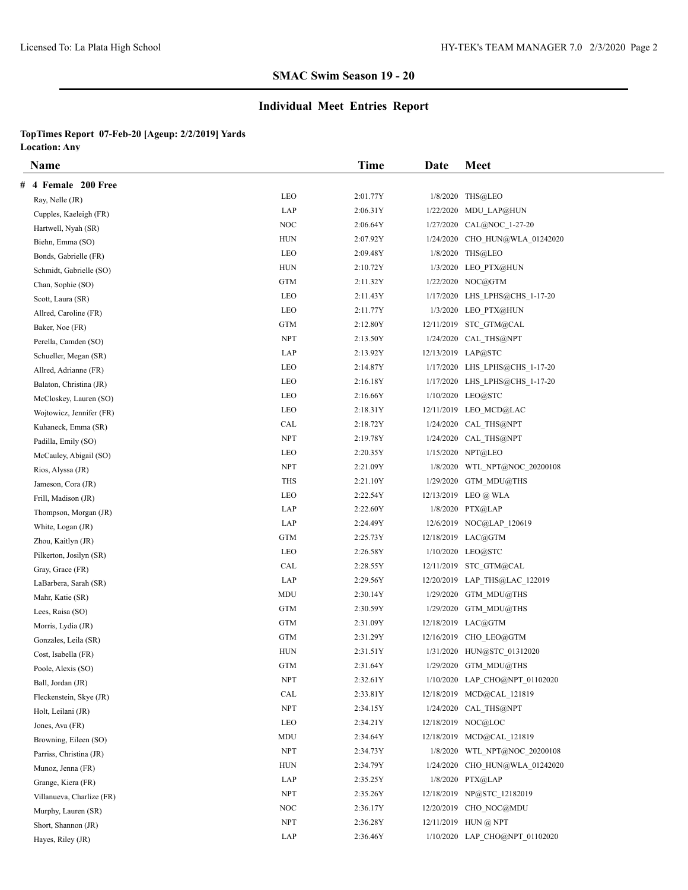# **Individual Meet Entries Report**

|   | <b>Name</b>               |            | <b>Time</b> | Date      | <b>Meet</b>                    |
|---|---------------------------|------------|-------------|-----------|--------------------------------|
| # | 4 Female 200 Free         |            |             |           |                                |
|   | Ray, Nelle (JR)           | LEO        | 2:01.77Y    |           | 1/8/2020 THS@LEO               |
|   | Cupples, Kaeleigh (FR)    | LAP        | 2:06.31Y    |           | 1/22/2020 MDU LAP@HUN          |
|   | Hartwell, Nyah (SR)       | NOC        | 2:06.64Y    | 1/27/2020 | CAL@NOC_1-27-20                |
|   | Biehn, Emma (SO)          | <b>HUN</b> | 2:07.92Y    |           | 1/24/2020 CHO HUN@WLA 01242020 |
|   | Bonds, Gabrielle (FR)     | LEO        | 2:09.48Y    |           | 1/8/2020 THS@LEO               |
|   | Schmidt, Gabrielle (SO)   | <b>HUN</b> | 2:10.72Y    |           | 1/3/2020 LEO PTX@HUN           |
|   | Chan, Sophie (SO)         | <b>GTM</b> | 2:11.32Y    |           | 1/22/2020 NOC@GTM              |
|   | Scott, Laura (SR)         | LEO        | 2:11.43Y    |           | 1/17/2020 LHS_LPHS@CHS_1-17-20 |
|   | Allred, Caroline (FR)     | LEO        | 2:11.77Y    |           | 1/3/2020 LEO PTX@HUN           |
|   | Baker, Noe (FR)           | <b>GTM</b> | 2:12.80Y    |           | 12/11/2019 STC GTM@CAL         |
|   | Perella, Camden (SO)      | <b>NPT</b> | 2:13.50Y    |           | 1/24/2020 CAL THS@NPT          |
|   | Schueller, Megan (SR)     | LAP        | 2:13.92Y    |           | 12/13/2019 LAP@STC             |
|   | Allred, Adrianne (FR)     | LEO        | 2:14.87Y    |           | 1/17/2020 LHS_LPHS@CHS_1-17-20 |
|   | Balaton, Christina (JR)   | LEO        | 2:16.18Y    |           | 1/17/2020 LHS_LPHS@CHS_1-17-20 |
|   | McCloskey, Lauren (SO)    | LEO        | 2:16.66Y    |           | 1/10/2020 LEO@STC              |
|   | Wojtowicz, Jennifer (FR)  | LEO        | 2:18.31Y    |           | 12/11/2019 LEO MCD@LAC         |
|   | Kuhaneck, Emma (SR)       | CAL        | 2:18.72Y    |           | 1/24/2020 CAL THS@NPT          |
|   | Padilla, Emily (SO)       | <b>NPT</b> | 2:19.78Y    |           | 1/24/2020 CAL THS@NPT          |
|   | McCauley, Abigail (SO)    | LEO        | 2:20.35Y    |           | 1/15/2020 NPT@LEO              |
|   | Rios, Alyssa (JR)         | <b>NPT</b> | 2:21.09Y    |           | 1/8/2020 WTL NPT@NOC 20200108  |
|   | Jameson, Cora (JR)        | <b>THS</b> | 2:21.10Y    |           | $1/29/2020$ GTM MDU@THS        |
|   | Frill, Madison (JR)       | LEO        | 2:22.54Y    |           | 12/13/2019 LEO @ WLA           |
|   | Thompson, Morgan (JR)     | LAP        | 2:22.60Y    |           | 1/8/2020 PTX@LAP               |
|   | White, Logan (JR)         | LAP        | 2:24.49Y    |           | 12/6/2019 NOC@LAP 120619       |
|   | Zhou, Kaitlyn (JR)        | <b>GTM</b> | 2:25.73Y    |           | 12/18/2019 LAC@GTM             |
|   | Pilkerton, Josilyn (SR)   | LEO        | 2:26.58Y    |           | 1/10/2020 LEO@STC              |
|   | Gray, Grace (FR)          | CAL        | 2:28.55Y    |           | 12/11/2019 STC GTM@CAL         |
|   | LaBarbera, Sarah (SR)     | LAP        | 2:29.56Y    |           | 12/20/2019 LAP_THS@LAC_122019  |
|   | Mahr, Katie (SR)          | MDU        | 2:30.14Y    |           | $1/29/2020$ GTM MDU@THS        |
|   | Lees, Raisa (SO)          | <b>GTM</b> | 2:30.59Y    |           | $1/29/2020$ GTM MDU@THS        |
|   | Morris, Lydia (JR)        | <b>GTM</b> | 2:31.09Y    |           | 12/18/2019 LAC@GTM             |
|   | Gonzales, Leila (SR)      | <b>GTM</b> | 2:31.29Y    |           | 12/16/2019 CHO LEO@GTM         |
|   | Cost, Isabella (FR)       | <b>HUN</b> | 2:31.51Y    |           | 1/31/2020 HUN@STC 01312020     |
|   | Poole, Alexis (SO)        | <b>GTM</b> | 2:31.64Y    |           | 1/29/2020 GTM MDU@THS          |
|   | Ball, Jordan (JR)         | <b>NPT</b> | 2:32.61Y    |           | 1/10/2020 LAP_CHO@NPT_01102020 |
|   | Fleckenstein, Skye (JR)   | CAL        | 2:33.81Y    |           | 12/18/2019 MCD@CAL 121819      |
|   | Holt, Leilani (JR)        | <b>NPT</b> | 2:34.15Y    |           | 1/24/2020 CAL_THS@NPT          |
|   | Jones, Ava (FR)           | LEO        | 2:34.21Y    |           | 12/18/2019 NOC@LOC             |
|   | Browning, Eileen (SO)     | MDU        | 2:34.64Y    |           | 12/18/2019 MCD@CAL 121819      |
|   | Parriss, Christina (JR)   | <b>NPT</b> | 2:34.73Y    |           | 1/8/2020 WTL NPT@NOC 20200108  |
|   | Munoz, Jenna (FR)         | HUN        | 2:34.79Y    |           | 1/24/2020 CHO HUN@WLA 01242020 |
|   | Grange, Kiera (FR)        | LAP        | 2:35.25Y    |           | 1/8/2020 PTX@LAP               |
|   | Villanueva, Charlize (FR) | <b>NPT</b> | 2:35.26Y    |           | 12/18/2019 NP@STC 12182019     |
|   | Murphy, Lauren (SR)       | NOC        | 2:36.17Y    |           | 12/20/2019 CHO NOC@MDU         |
|   | Short, Shannon (JR)       | <b>NPT</b> | 2:36.28Y    |           | 12/11/2019 HUN @ NPT           |
|   | Hayes, Riley (JR)         | LAP        | 2:36.46Y    |           | 1/10/2020 LAP CHO@NPT 01102020 |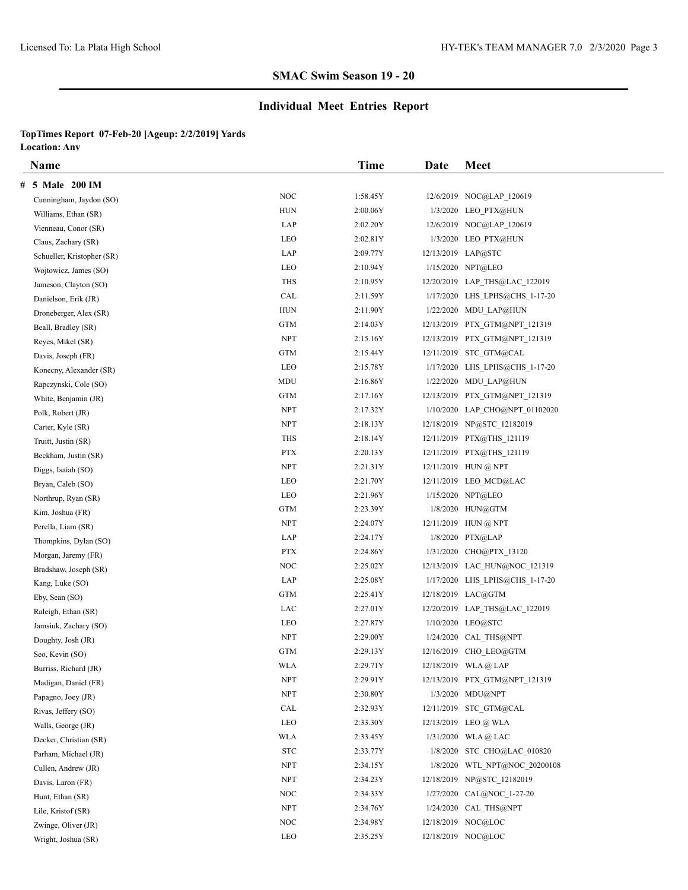# **Individual Meet Entries Report**

|   | <b>Name</b>                |            | Time     | Date | Meet                           |
|---|----------------------------|------------|----------|------|--------------------------------|
| # | 5 Male 200 IM              |            |          |      |                                |
|   | Cunningham, Jaydon (SO)    | <b>NOC</b> | 1:58.45Y |      | 12/6/2019 NOC@LAP 120619       |
|   | Williams, Ethan (SR)       | <b>HUN</b> | 2:00.06Y |      | 1/3/2020 LEO PTX@HUN           |
|   | Vienneau, Conor (SR)       | LAP        | 2:02.20Y |      | 12/6/2019 NOC@LAP 120619       |
|   | Claus, Zachary (SR)        | LEO        | 2:02.81Y |      | 1/3/2020 LEO PTX@HUN           |
|   | Schueller, Kristopher (SR) | LAP        | 2:09.77Y |      | 12/13/2019 LAP@STC             |
|   | Wojtowicz, James (SO)      | LEO        | 2:10.94Y |      | 1/15/2020 NPT@LEO              |
|   | Jameson, Clayton (SO)      | <b>THS</b> | 2:10.95Y |      | 12/20/2019 LAP THS@LAC 122019  |
|   | Danielson, Erik (JR)       | CAL        | 2:11.59Y |      | 1/17/2020 LHS LPHS@CHS 1-17-20 |
|   | Droneberger, Alex (SR)     | <b>HUN</b> | 2:11.90Y |      | 1/22/2020 MDU LAP@HUN          |
|   | Beall, Bradley (SR)        | <b>GTM</b> | 2:14.03Y |      | 12/13/2019 PTX GTM@NPT 121319  |
|   | Reyes, Mikel (SR)          | <b>NPT</b> | 2:15.16Y |      | 12/13/2019 PTX GTM@NPT 121319  |
|   | Davis, Joseph (FR)         | <b>GTM</b> | 2:15.44Y |      | 12/11/2019 STC GTM@CAL         |
|   | Konecny, Alexander (SR)    | LEO        | 2:15.78Y |      | 1/17/2020 LHS LPHS@CHS 1-17-20 |
|   | Rapczynski, Cole (SO)      | MDU        | 2:16.86Y |      | 1/22/2020 MDU LAP@HUN          |
|   | White, Benjamin (JR)       | <b>GTM</b> | 2:17.16Y |      | 12/13/2019 PTX GTM@NPT 121319  |
|   | Polk, Robert (JR)          | <b>NPT</b> | 2:17.32Y |      | 1/10/2020 LAP CHO@NPT 01102020 |
|   | Carter, Kyle (SR)          | <b>NPT</b> | 2:18.13Y |      | 12/18/2019 NP@STC 12182019     |
|   | Truitt, Justin (SR)        | THS        | 2:18.14Y |      | 12/11/2019 PTX@THS 121119      |
|   | Beckham, Justin (SR)       | <b>PTX</b> | 2:20.13Y |      | 12/11/2019 PTX@THS 121119      |
|   | Diggs, Isaiah (SO)         | <b>NPT</b> | 2:21.31Y |      | 12/11/2019 HUN @ NPT           |
|   | Bryan, Caleb (SO)          | LEO        | 2:21.70Y |      | 12/11/2019 LEO MCD@LAC         |
|   | Northrup, Ryan (SR)        | LEO        | 2:21.96Y |      | 1/15/2020 NPT@LEO              |
|   | Kim, Joshua (FR)           | <b>GTM</b> | 2:23.39Y |      | 1/8/2020 HUN@GTM               |
|   | Perella, Liam (SR)         | <b>NPT</b> | 2:24.07Y |      | $12/11/2019$ HUN @ NPT         |
|   | Thompkins, Dylan (SO)      | LAP        | 2:24.17Y |      | 1/8/2020 PTX@LAP               |
|   | Morgan, Jaremy (FR)        | <b>PTX</b> | 2:24.86Y |      | 1/31/2020 CHO@PTX 13120        |
|   | Bradshaw, Joseph (SR)      | <b>NOC</b> | 2:25.02Y |      | 12/13/2019 LAC HUN@NOC 121319  |
|   | Kang, Luke (SO)            | LAP        | 2:25.08Y |      | 1/17/2020 LHS LPHS@CHS 1-17-20 |
|   | Eby, Sean (SO)             | <b>GTM</b> | 2:25.41Y |      | 12/18/2019 LAC@GTM             |
|   | Raleigh, Ethan (SR)        | LAC        | 2:27.01Y |      | 12/20/2019 LAP_THS@LAC_122019  |
|   | Jamsiuk, Zachary (SO)      | LEO        | 2:27.87Y |      | 1/10/2020 LEO@STC              |
|   | Doughty, Josh (JR)         | <b>NPT</b> | 2:29.00Y |      | 1/24/2020 CAL THS@NPT          |
|   | Seo, Kevin (SO)            | <b>GTM</b> | 2:29.13Y |      | 12/16/2019 CHO LEO@GTM         |
|   | Burriss, Richard (JR)      | <b>WLA</b> | 2:29.71Y |      | 12/18/2019 WLA@LAP             |
|   | Madigan, Daniel (FR)       | <b>NPT</b> | 2:29.91Y |      | 12/13/2019 PTX GTM@NPT 121319  |
|   | Papagno, Joey (JR)         | <b>NPT</b> | 2:30.80Y |      | 1/3/2020 MDU@NPT               |
|   | Rivas, Jeffery (SO)        | CAL        | 2:32.93Y |      | 12/11/2019 STC_GTM@CAL         |
|   | Walls, George (JR)         | LEO        | 2:33.30Y |      | 12/13/2019 LEO @ WLA           |
|   | Decker, Christian (SR)     | <b>WLA</b> | 2:33.45Y |      | $1/31/2020$ WLA @ LAC          |
|   | Parham, Michael (JR)       | <b>STC</b> | 2:33.77Y |      | 1/8/2020 STC CHO@LAC 010820    |
|   | Cullen, Andrew (JR)        | <b>NPT</b> | 2:34.15Y |      | 1/8/2020 WTL NPT@NOC 20200108  |
|   | Davis, Laron (FR)          | <b>NPT</b> | 2:34.23Y |      | 12/18/2019 NP@STC 12182019     |
|   | Hunt, Ethan (SR)           | <b>NOC</b> | 2:34.33Y |      | 1/27/2020 CAL@NOC 1-27-20      |
|   | Lile, Kristof (SR)         | <b>NPT</b> | 2:34.76Y |      | 1/24/2020 CAL THS@NPT          |
|   | Zwinge, Oliver (JR)        | NOC        | 2:34.98Y |      | 12/18/2019 NOC@LOC             |
|   | Wright, Joshua (SR)        | LEO        | 2:35.25Y |      | 12/18/2019 NOC@LOC             |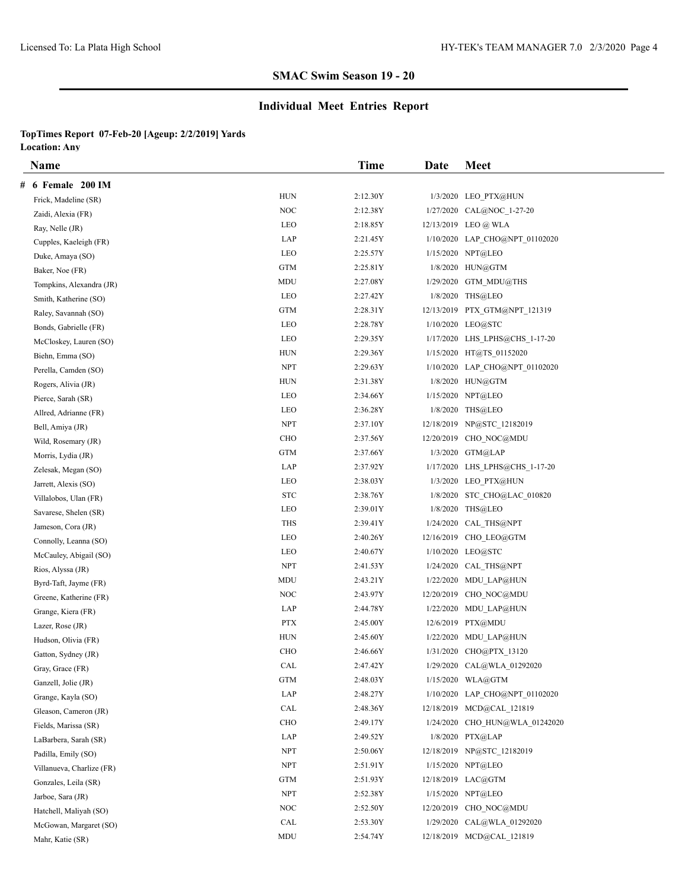# **Individual Meet Entries Report**

|   | <b>Name</b>               |            | Time     | Date | <b>Meet</b>                    |
|---|---------------------------|------------|----------|------|--------------------------------|
| # | 6 Female 200 IM           |            |          |      |                                |
|   | Frick, Madeline (SR)      | <b>HUN</b> | 2:12.30Y |      | 1/3/2020 LEO PTX@HUN           |
|   | Zaidi, Alexia (FR)        | <b>NOC</b> | 2:12.38Y |      | 1/27/2020 CAL@NOC 1-27-20      |
|   | Ray, Nelle (JR)           | LEO        | 2:18.85Y |      | 12/13/2019 LEO @ WLA           |
|   | Cupples, Kaeleigh (FR)    | LAP        | 2:21.45Y |      | 1/10/2020 LAP CHO@NPT 01102020 |
|   | Duke, Amaya (SO)          | LEO        | 2:25.57Y |      | 1/15/2020 NPT@LEO              |
|   | Baker, Noe (FR)           | <b>GTM</b> | 2:25.81Y |      | 1/8/2020 HUN@GTM               |
|   | Tompkins, Alexandra (JR)  | MDU        | 2:27.08Y |      | 1/29/2020 GTM MDU@THS          |
|   | Smith, Katherine (SO)     | LEO        | 2:27.42Y |      | 1/8/2020 THS@LEO               |
|   | Raley, Savannah (SO)      | <b>GTM</b> | 2:28.31Y |      | 12/13/2019 PTX_GTM@NPT_121319  |
|   | Bonds, Gabrielle (FR)     | LEO        | 2:28.78Y |      | 1/10/2020 LEO@STC              |
|   | McCloskey, Lauren (SO)    | LEO        | 2:29.35Y |      | 1/17/2020 LHS LPHS@CHS 1-17-20 |
|   | Biehn, Emma (SO)          | <b>HUN</b> | 2:29.36Y |      | 1/15/2020 HT@TS 01152020       |
|   | Perella, Camden (SO)      | <b>NPT</b> | 2:29.63Y |      | 1/10/2020 LAP_CHO@NPT_01102020 |
|   | Rogers, Alivia (JR)       | HUN        | 2:31.38Y |      | 1/8/2020 HUN@GTM               |
|   | Pierce, Sarah (SR)        | LEO        | 2:34.66Y |      | 1/15/2020 NPT@LEO              |
|   | Allred, Adrianne (FR)     | LEO        | 2:36.28Y |      | 1/8/2020 THS@LEO               |
|   | Bell, Amiya (JR)          | <b>NPT</b> | 2:37.10Y |      | 12/18/2019 NP@STC 12182019     |
|   | Wild, Rosemary (JR)       | CHO        | 2:37.56Y |      | 12/20/2019 CHO_NOC@MDU         |
|   | Morris, Lydia (JR)        | <b>GTM</b> | 2:37.66Y |      | 1/3/2020 GTM@LAP               |
|   | Zelesak, Megan (SO)       | LAP        | 2:37.92Y |      | 1/17/2020 LHS LPHS@CHS 1-17-20 |
|   | Jarrett, Alexis (SO)      | LEO        | 2:38.03Y |      | 1/3/2020 LEO PTX@HUN           |
|   | Villalobos, Ulan (FR)     | <b>STC</b> | 2:38.76Y |      | 1/8/2020 STC_CHO@LAC_010820    |
|   | Savarese, Shelen (SR)     | LEO        | 2:39.01Y |      | 1/8/2020 THS@LEO               |
|   | Jameson, Cora (JR)        | THS        | 2:39.41Y |      | 1/24/2020 CAL THS@NPT          |
|   | Connolly, Leanna (SO)     | LEO        | 2:40.26Y |      | 12/16/2019 CHO LEO@GTM         |
|   | McCauley, Abigail (SO)    | LEO        | 2:40.67Y |      | 1/10/2020 LEO@STC              |
|   | Rios, Alyssa (JR)         | <b>NPT</b> | 2:41.53Y |      | 1/24/2020 CAL THS@NPT          |
|   | Byrd-Taft, Jayme (FR)     | MDU        | 2:43.21Y |      | 1/22/2020 MDU LAP@HUN          |
|   | Greene, Katherine (FR)    | NOC        | 2:43.97Y |      | 12/20/2019 CHO NOC@MDU         |
|   | Grange, Kiera (FR)        | LAP        | 2:44.78Y |      | 1/22/2020 MDU LAP@HUN          |
|   | Lazer, Rose (JR)          | <b>PTX</b> | 2:45.00Y |      | 12/6/2019 PTX@MDU              |
|   | Hudson, Olivia (FR)       | <b>HUN</b> | 2:45.60Y |      | 1/22/2020 MDU LAP@HUN          |
|   | Gatton, Sydney (JR)       | <b>CHO</b> | 2:46.66Y |      | 1/31/2020 CHO@PTX 13120        |
|   | Gray, Grace (FR)          | CAL        | 2:47.42Y |      | 1/29/2020 CAL@WLA_01292020     |
|   | Ganzell, Jolie (JR)       | GTM        | 2:48.03Y |      | 1/15/2020 WLA@GTM              |
|   | Grange, Kayla (SO)        | LAP        | 2:48.27Y |      | 1/10/2020 LAP CHO@NPT 01102020 |
|   | Gleason, Cameron (JR)     | CAL        | 2:48.36Y |      | 12/18/2019 MCD@CAL_121819      |
|   | Fields, Marissa (SR)      | CHO        | 2:49.17Y |      | 1/24/2020 CHO HUN@WLA 01242020 |
|   | LaBarbera, Sarah (SR)     | LAP        | 2:49.52Y |      | 1/8/2020 PTX@LAP               |
|   | Padilla, Emily (SO)       | <b>NPT</b> | 2:50.06Y |      | 12/18/2019 NP@STC 12182019     |
|   | Villanueva, Charlize (FR) | <b>NPT</b> | 2:51.91Y |      | 1/15/2020 NPT@LEO              |
|   | Gonzales, Leila (SR)      | <b>GTM</b> | 2:51.93Y |      | 12/18/2019 LAC@GTM             |
|   | Jarboe, Sara (JR)         | <b>NPT</b> | 2:52.38Y |      | 1/15/2020 NPT@LEO              |
|   | Hatchell, Maliyah (SO)    | NOC        | 2:52.50Y |      | 12/20/2019 CHO NOC@MDU         |
|   | McGowan, Margaret (SO)    | CAL        | 2:53.30Y |      | 1/29/2020 CAL@WLA 01292020     |
|   | Mahr, Katie (SR)          | MDU        | 2:54.74Y |      | 12/18/2019 MCD@CAL 121819      |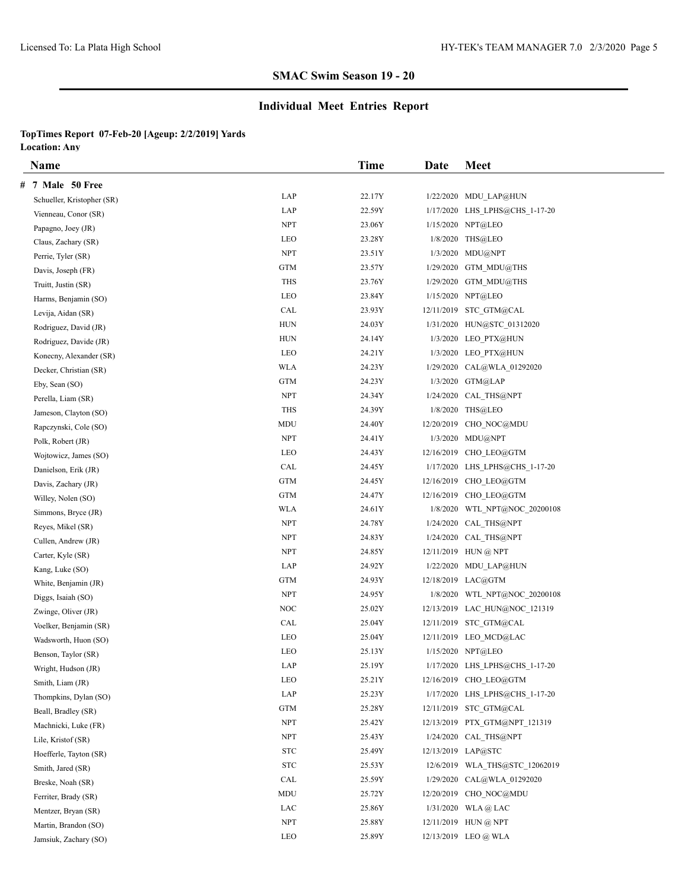# **Individual Meet Entries Report**

|   | <b>Name</b>                |                   | Time   | Date | <b>Meet</b>                    |
|---|----------------------------|-------------------|--------|------|--------------------------------|
| # | 7 Male 50 Free             |                   |        |      |                                |
|   | Schueller, Kristopher (SR) | LAP               | 22.17Y |      | 1/22/2020 MDU LAP@HUN          |
|   | Vienneau, Conor (SR)       | LAP               | 22.59Y |      | 1/17/2020 LHS LPHS@CHS 1-17-20 |
|   | Papagno, Joey (JR)         | <b>NPT</b>        | 23.06Y |      | 1/15/2020 NPT@LEO              |
|   | Claus, Zachary (SR)        | LEO               | 23.28Y |      | 1/8/2020 THS@LEO               |
|   | Perrie, Tyler (SR)         | <b>NPT</b>        | 23.51Y |      | $1/3/2020$ MDU@NPT             |
|   | Davis, Joseph (FR)         | <b>GTM</b>        | 23.57Y |      | 1/29/2020 GTM MDU@THS          |
|   | Truitt, Justin (SR)        | <b>THS</b>        | 23.76Y |      | 1/29/2020 GTM MDU@THS          |
|   | Harms, Benjamin (SO)       | LEO               | 23.84Y |      | 1/15/2020 NPT@LEO              |
|   | Levija, Aidan (SR)         | CAL               | 23.93Y |      | 12/11/2019 STC_GTM@CAL         |
|   | Rodriguez, David (JR)      | <b>HUN</b>        | 24.03Y |      | 1/31/2020 HUN@STC 01312020     |
|   | Rodriguez, Davide (JR)     | HUN               | 24.14Y |      | 1/3/2020 LEO PTX@HUN           |
|   | Konecny, Alexander (SR)    | LEO               | 24.21Y |      | 1/3/2020 LEO PTX@HUN           |
|   | Decker, Christian (SR)     | <b>WLA</b>        | 24.23Y |      | 1/29/2020 CAL@WLA 01292020     |
|   | Eby, Sean (SO)             | <b>GTM</b>        | 24.23Y |      | 1/3/2020 GTM@LAP               |
|   | Perella, Liam (SR)         | <b>NPT</b>        | 24.34Y |      | 1/24/2020 CAL THS@NPT          |
|   | Jameson, Clayton (SO)      | <b>THS</b>        | 24.39Y |      | 1/8/2020 THS@LEO               |
|   | Rapczynski, Cole (SO)      | MDU               | 24.40Y |      | 12/20/2019 CHO NOC@MDU         |
|   | Polk, Robert (JR)          | <b>NPT</b>        | 24.41Y |      | 1/3/2020 MDU@NPT               |
|   | Wojtowicz, James (SO)      | LEO               | 24.43Y |      | 12/16/2019 CHO LEO@GTM         |
|   | Danielson, Erik (JR)       | CAL               | 24.45Y |      | 1/17/2020 LHS LPHS@CHS 1-17-20 |
|   | Davis, Zachary (JR)        | <b>GTM</b>        | 24.45Y |      | 12/16/2019 CHO LEO@GTM         |
|   | Willey, Nolen (SO)         | <b>GTM</b>        | 24.47Y |      | 12/16/2019 CHO LEO@GTM         |
|   | Simmons, Bryce (JR)        | <b>WLA</b>        | 24.61Y |      | 1/8/2020 WTL NPT@NOC 20200108  |
|   | Reyes, Mikel (SR)          | <b>NPT</b>        | 24.78Y |      | 1/24/2020 CAL THS@NPT          |
|   | Cullen, Andrew (JR)        | <b>NPT</b>        | 24.83Y |      | 1/24/2020 CAL THS@NPT          |
|   | Carter, Kyle (SR)          | <b>NPT</b>        | 24.85Y |      | 12/11/2019 HUN @ NPT           |
|   | Kang, Luke (SO)            | LAP               | 24.92Y |      | 1/22/2020 MDU LAP@HUN          |
|   | White, Benjamin (JR)       | <b>GTM</b>        | 24.93Y |      | 12/18/2019 LAC@GTM             |
|   | Diggs, Isaiah (SO)         | <b>NPT</b>        | 24.95Y |      | 1/8/2020 WTL NPT@NOC 20200108  |
|   | Zwinge, Oliver (JR)        | NOC               | 25.02Y |      | 12/13/2019 LAC HUN@NOC 121319  |
|   | Voelker, Benjamin (SR)     | CAL               | 25.04Y |      | 12/11/2019 STC GTM@CAL         |
|   | Wadsworth, Huon (SO)       | LEO               | 25.04Y |      | 12/11/2019 LEO MCD@LAC         |
|   | Benson, Taylor (SR)        | <b>LEO</b>        | 25.13Y |      | 1/15/2020 NPT@LEO              |
|   | Wright, Hudson (JR)        | LAP               | 25.19Y |      | 1/17/2020 LHS_LPHS@CHS_1-17-20 |
|   | Smith, Liam (JR)           | LEO               | 25.21Y |      | 12/16/2019 CHO LEO@GTM         |
|   | Thompkins, Dylan (SO)      | LAP               | 25.23Y |      | 1/17/2020 LHS LPHS@CHS 1-17-20 |
|   | Beall, Bradley (SR)        | GTM               | 25.28Y |      | 12/11/2019 STC_GTM@CAL         |
|   | Machnicki, Luke (FR)       | <b>NPT</b>        | 25.42Y |      | 12/13/2019 PTX_GTM@NPT_121319  |
|   | Lile, Kristof (SR)         | NPT               | 25.43Y |      | 1/24/2020 CAL THS@NPT          |
|   | Hoefferle, Tayton (SR)     | $_{\mathrm{STC}}$ | 25.49Y |      | 12/13/2019 LAP@STC             |
|   | Smith, Jared (SR)          | $_{\mathrm{STC}}$ | 25.53Y |      | 12/6/2019 WLA THS@STC 12062019 |
|   | Breske, Noah (SR)          | CAL               | 25.59Y |      | 1/29/2020 CAL@WLA 01292020     |
|   | Ferriter, Brady (SR)       | MDU               | 25.72Y |      | 12/20/2019 CHO NOC@MDU         |
|   | Mentzer, Bryan (SR)        | LAC               | 25.86Y |      | 1/31/2020 WLA @ LAC            |
|   | Martin, Brandon (SO)       | <b>NPT</b>        | 25.88Y |      | 12/11/2019 HUN @ NPT           |
|   | Jamsiuk, Zachary (SO)      | LEO               | 25.89Y |      | 12/13/2019 LEO @ WLA           |
|   |                            |                   |        |      |                                |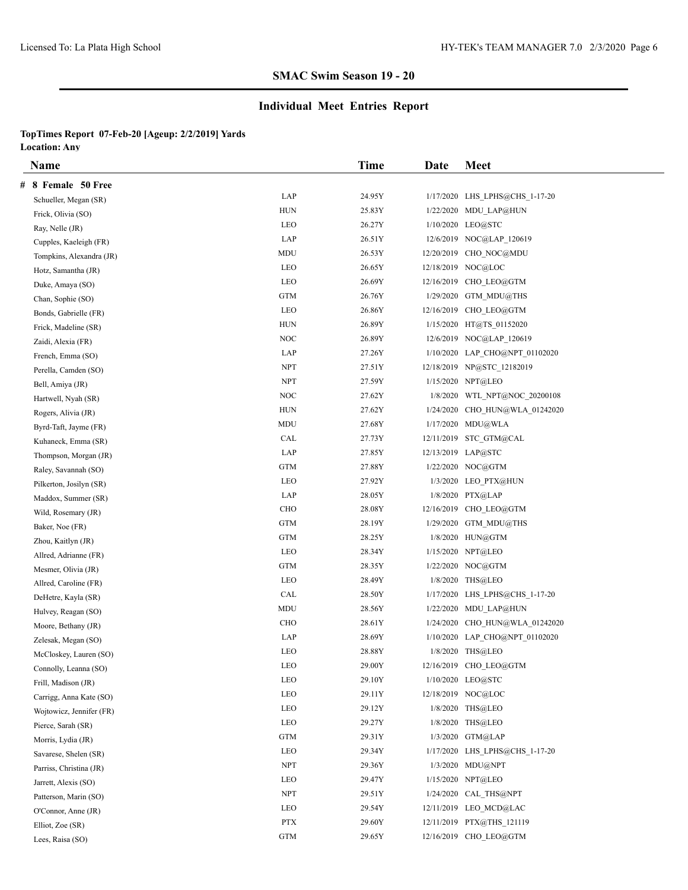# **Individual Meet Entries Report**

|   | <b>Name</b>              |                      | Time   | Date       | <b>Meet</b>                    |
|---|--------------------------|----------------------|--------|------------|--------------------------------|
| # | 8 Female 50 Free         |                      |        |            |                                |
|   | Schueller, Megan (SR)    | LAP                  | 24.95Y |            | 1/17/2020 LHS LPHS@CHS 1-17-20 |
|   | Frick, Olivia (SO)       | <b>HUN</b>           | 25.83Y |            | 1/22/2020 MDU LAP@HUN          |
|   | Ray, Nelle (JR)          | LEO                  | 26.27Y |            | 1/10/2020 LEO@STC              |
|   | Cupples, Kaeleigh (FR)   | LAP                  | 26.51Y |            | 12/6/2019 NOC@LAP 120619       |
|   | Tompkins, Alexandra (JR) | MDU                  | 26.53Y | 12/20/2019 | CHO NOC@MDU                    |
|   | Hotz, Samantha (JR)      | LEO                  | 26.65Y |            | 12/18/2019 NOC@LOC             |
|   | Duke, Amaya (SO)         | LEO                  | 26.69Y |            | 12/16/2019 CHO LEO@GTM         |
|   | Chan, Sophie (SO)        | <b>GTM</b>           | 26.76Y |            | $1/29/2020$ GTM MDU@THS        |
|   | Bonds, Gabrielle (FR)    | LEO                  | 26.86Y |            | 12/16/2019 CHO LEO@GTM         |
|   | Frick, Madeline (SR)     | <b>HUN</b>           | 26.89Y |            | 1/15/2020 HT@TS 01152020       |
|   | Zaidi, Alexia (FR)       | NOC                  | 26.89Y |            | 12/6/2019 NOC@LAP 120619       |
|   | French, Emma (SO)        | LAP                  | 27.26Y |            | 1/10/2020 LAP CHO@NPT 01102020 |
|   | Perella, Camden (SO)     | <b>NPT</b>           | 27.51Y |            | 12/18/2019 NP@STC 12182019     |
|   | Bell, Amiya (JR)         | <b>NPT</b>           | 27.59Y |            | 1/15/2020 NPT@LEO              |
|   | Hartwell, Nyah (SR)      | NOC                  | 27.62Y | 1/8/2020   | WTL NPT@NOC 20200108           |
|   | Rogers, Alivia (JR)      | <b>HUN</b>           | 27.62Y | 1/24/2020  | CHO HUN@WLA 01242020           |
|   | Byrd-Taft, Jayme (FR)    | <b>MDU</b>           | 27.68Y |            | 1/17/2020 MDU@WLA              |
|   | Kuhaneck, Emma (SR)      | CAL                  | 27.73Y |            | 12/11/2019 STC GTM@CAL         |
|   | Thompson, Morgan (JR)    | LAP                  | 27.85Y |            | 12/13/2019 LAP@STC             |
|   | Raley, Savannah (SO)     | GTM                  | 27.88Y |            | 1/22/2020 NOC@GTM              |
|   | Pilkerton, Josilyn (SR)  | <b>LEO</b>           | 27.92Y |            | 1/3/2020 LEO PTX@HUN           |
|   | Maddox, Summer (SR)      | LAP                  | 28.05Y |            | 1/8/2020 PTX@LAP               |
|   | Wild, Rosemary (JR)      | <b>CHO</b>           | 28.08Y |            | 12/16/2019 CHO LEO@GTM         |
|   | Baker, Noe (FR)          | <b>GTM</b>           | 28.19Y |            | 1/29/2020 GTM MDU@THS          |
|   | Zhou, Kaitlyn (JR)       | <b>GTM</b>           | 28.25Y |            | 1/8/2020 HUN@GTM               |
|   | Allred, Adrianne (FR)    | LEO                  | 28.34Y |            | 1/15/2020 NPT@LEO              |
|   | Mesmer, Olivia (JR)      | <b>GTM</b>           | 28.35Y |            | 1/22/2020 NOC@GTM              |
|   | Allred, Caroline (FR)    | LEO                  | 28.49Y |            | 1/8/2020 THS@LEO               |
|   | DeHetre, Kayla (SR)      | CAL                  | 28.50Y |            | 1/17/2020 LHS LPHS@CHS 1-17-20 |
|   | Hulvey, Reagan (SO)      | MDU                  | 28.56Y |            | 1/22/2020 MDU LAP@HUN          |
|   | Moore, Bethany (JR)      | CHO                  | 28.61Y |            | 1/24/2020 CHO HUN@WLA 01242020 |
|   | Zelesak, Megan (SO)      | LAP                  | 28.69Y |            | 1/10/2020 LAP_CHO@NPT_01102020 |
|   | McCloskey, Lauren (SO)   | <b>LEO</b>           | 28.88Y |            | 1/8/2020 THS@LEO               |
|   | Connolly, Leanna (SO)    | LEO                  | 29.00Y |            | 12/16/2019 CHO_LEO@GTM         |
|   | Frill, Madison (JR)      | LEO                  | 29.10Y |            | 1/10/2020 LEO@STC              |
|   | Carrigg, Anna Kate (SO)  | LEO                  | 29.11Y |            | 12/18/2019 NOC@LOC             |
|   | Wojtowicz, Jennifer (FR) | LEO                  | 29.12Y |            | 1/8/2020 THS@LEO               |
|   | Pierce, Sarah (SR)       | LEO                  | 29.27Y |            | 1/8/2020 THS@LEO               |
|   | Morris, Lydia (JR)       | $\operatorname{GTM}$ | 29.31Y |            | 1/3/2020 GTM@LAP               |
|   | Savarese, Shelen (SR)    | LEO                  | 29.34Y |            | 1/17/2020 LHS LPHS@CHS 1-17-20 |
|   | Parriss, Christina (JR)  | NPT                  | 29.36Y |            | 1/3/2020 MDU@NPT               |
|   | Jarrett, Alexis (SO)     | LEO                  | 29.47Y |            | 1/15/2020 NPT@LEO              |
|   | Patterson, Marin (SO)    | ${\rm NPT}$          | 29.51Y |            | 1/24/2020 CAL THS@NPT          |
|   | O'Connor, Anne (JR)      | LEO                  | 29.54Y |            | 12/11/2019 LEO MCD@LAC         |
|   | Elliot, Zoe (SR)         | <b>PTX</b>           | 29.60Y |            | 12/11/2019 PTX@THS 121119      |
|   | Lees, Raisa (SO)         | <b>GTM</b>           | 29.65Y |            | 12/16/2019 CHO LEO@GTM         |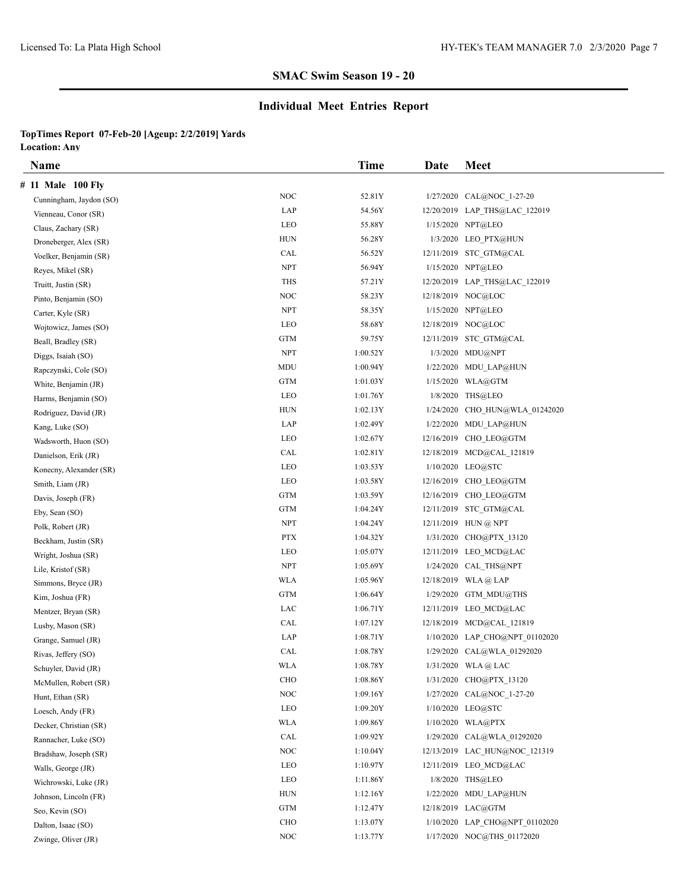# **Individual Meet Entries Report**

| <b>Name</b>             |            | Time     | Date | <b>Meet</b>                    |
|-------------------------|------------|----------|------|--------------------------------|
| # 11 Male 100 Fly       |            |          |      |                                |
| Cunningham, Jaydon (SO) | <b>NOC</b> | 52.81Y   |      | 1/27/2020 CAL@NOC 1-27-20      |
| Vienneau, Conor (SR)    | LAP        | 54.56Y   |      | 12/20/2019 LAP_THS@LAC_122019  |
| Claus, Zachary (SR)     | LEO        | 55.88Y   |      | 1/15/2020 NPT@LEO              |
| Droneberger, Alex (SR)  | <b>HUN</b> | 56.28Y   |      | 1/3/2020 LEO PTX@HUN           |
| Voelker, Benjamin (SR)  | CAL        | 56.52Y   |      | 12/11/2019 STC GTM@CAL         |
| Reyes, Mikel (SR)       | <b>NPT</b> | 56.94Y   |      | 1/15/2020 NPT@LEO              |
| Truitt, Justin (SR)     | <b>THS</b> | 57.21Y   |      | 12/20/2019 LAP THS@LAC 122019  |
| Pinto, Benjamin (SO)    | NOC        | 58.23Y   |      | 12/18/2019 NOC@LOC             |
| Carter, Kyle (SR)       | <b>NPT</b> | 58.35Y   |      | 1/15/2020 NPT@LEO              |
| Wojtowicz, James (SO)   | LEO        | 58.68Y   |      | 12/18/2019 NOC@LOC             |
| Beall, Bradley (SR)     | GTM        | 59.75Y   |      | 12/11/2019 STC GTM@CAL         |
| Diggs, Isaiah (SO)      | <b>NPT</b> | 1:00.52Y |      | 1/3/2020 MDU@NPT               |
| Rapczynski, Cole (SO)   | MDU        | 1:00.94Y |      | 1/22/2020 MDU LAP@HUN          |
| White, Benjamin (JR)    | <b>GTM</b> | 1:01.03Y |      | 1/15/2020 WLA@GTM              |
| Harms, Benjamin (SO)    | LEO        | 1:01.76Y |      | 1/8/2020 THS@LEO               |
| Rodriguez, David (JR)   | <b>HUN</b> | 1:02.13Y |      | 1/24/2020 CHO HUN@WLA 01242020 |
| Kang, Luke (SO)         | LAP        | 1:02.49Y |      | 1/22/2020 MDU LAP@HUN          |
| Wadsworth, Huon (SO)    | LEO        | 1:02.67Y |      | 12/16/2019 CHO LEO@GTM         |
| Danielson, Erik (JR)    | CAL        | 1:02.81Y |      | 12/18/2019 MCD@CAL 121819      |
| Konecny, Alexander (SR) | LEO        | 1:03.53Y |      | 1/10/2020 LEO@STC              |
| Smith, Liam (JR)        | LEO        | 1:03.58Y |      | 12/16/2019 CHO LEO@GTM         |
| Davis, Joseph (FR)      | <b>GTM</b> | 1:03.59Y |      | 12/16/2019 CHO LEO@GTM         |
| Eby, Sean (SO)          | <b>GTM</b> | 1:04.24Y |      | 12/11/2019 STC GTM@CAL         |
| Polk, Robert (JR)       | <b>NPT</b> | 1:04.24Y |      | 12/11/2019 HUN @ NPT           |
| Beckham, Justin (SR)    | <b>PTX</b> | 1:04.32Y |      | 1/31/2020 CHO@PTX 13120        |
| Wright, Joshua (SR)     | LEO        | 1:05.07Y |      | 12/11/2019 LEO MCD@LAC         |
| Lile, Kristof (SR)      | <b>NPT</b> | 1:05.69Y |      | 1/24/2020 CAL THS@NPT          |
| Simmons, Bryce (JR)     | <b>WLA</b> | 1:05.96Y |      | $12/18/2019$ WLA @ LAP         |
| Kim, Joshua (FR)        | <b>GTM</b> | 1:06.64Y |      | 1/29/2020 GTM MDU@THS          |
| Mentzer, Bryan (SR)     | LAC        | 1:06.71Y |      | 12/11/2019 LEO MCD@LAC         |
| Lusby, Mason (SR)       | CAL        | 1:07.12Y |      | 12/18/2019 MCD@CAL 121819      |
| Grange, Samuel (JR)     | LAP        | 1:08.71Y |      | 1/10/2020 LAP CHO@NPT 01102020 |
| Rivas, Jeffery (SO)     | CAL        | 1:08.78Y |      | 1/29/2020 CAL@WLA 01292020     |
| Schuyler, David (JR)    | <b>WLA</b> | 1:08.78Y |      | 1/31/2020 WLA@LAC              |
| McMullen, Robert (SR)   | <b>CHO</b> | 1:08.86Y |      | 1/31/2020 CHO@PTX 13120        |
| Hunt, Ethan (SR)        | <b>NOC</b> | 1:09.16Y |      | 1/27/2020 CAL@NOC 1-27-20      |
| Loesch, Andy (FR)       | LEO        | 1:09.20Y |      | 1/10/2020 LEO@STC              |
| Decker, Christian (SR)  | <b>WLA</b> | 1:09.86Y |      | 1/10/2020 WLA@PTX              |
| Rannacher, Luke (SO)    | CAL        | 1:09.92Y |      | 1/29/2020 CAL@WLA 01292020     |
| Bradshaw, Joseph (SR)   | NOC        | 1:10.04Y |      | 12/13/2019 LAC HUN@NOC 121319  |
| Walls, George (JR)      | LEO        | 1:10.97Y |      | 12/11/2019 LEO MCD@LAC         |
| Wichrowski, Luke (JR)   | LEO        | 1:11.86Y |      | 1/8/2020 THS@LEO               |
| Johnson, Lincoln (FR)   | HUN        | 1:12.16Y |      | 1/22/2020 MDU LAP@HUN          |
| Seo, Kevin (SO)         | <b>GTM</b> | 1:12.47Y |      | 12/18/2019 LAC@GTM             |
| Dalton, Isaac (SO)      | CHO        | 1:13.07Y |      | 1/10/2020 LAP CHO@NPT 01102020 |
| Zwinge, Oliver (JR)     | $\rm NOC$  | 1:13.77Y |      | 1/17/2020 NOC@THS 01172020     |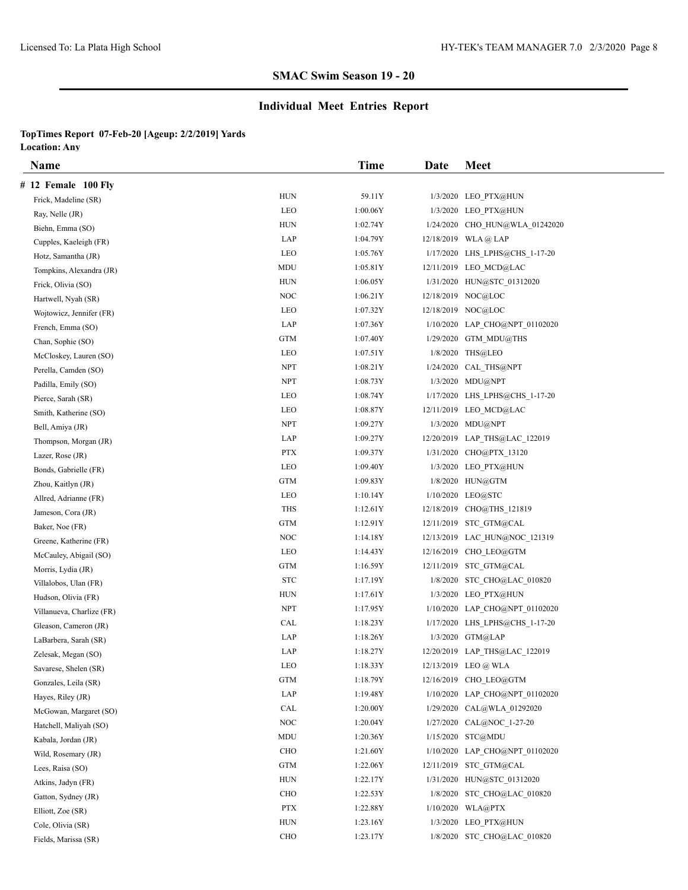# **Individual Meet Entries Report**

| Name                      |             | <b>Time</b> | Date | <b>Meet</b>                    |
|---------------------------|-------------|-------------|------|--------------------------------|
| # 12 Female 100 Fly       |             |             |      |                                |
| Frick, Madeline (SR)      | HUN         | 59.11Y      |      | 1/3/2020 LEO PTX@HUN           |
| Ray, Nelle (JR)           | LEO         | 1:00.06Y    |      | 1/3/2020 LEO PTX@HUN           |
| Biehn, Emma (SO)          | HUN         | 1:02.74Y    |      | 1/24/2020 CHO HUN@WLA 01242020 |
| Cupples, Kaeleigh (FR)    | LAP         | 1:04.79Y    |      | 12/18/2019 WLA @ LAP           |
| Hotz, Samantha (JR)       | LEO         | 1:05.76Y    |      | 1/17/2020 LHS LPHS@CHS 1-17-20 |
| Tompkins, Alexandra (JR)  | MDU         | 1:05.81Y    |      | 12/11/2019 LEO MCD@LAC         |
| Frick, Olivia (SO)        | <b>HUN</b>  | 1:06.05Y    |      | 1/31/2020 HUN@STC 01312020     |
| Hartwell, Nyah (SR)       | <b>NOC</b>  | 1:06.21Y    |      | 12/18/2019 NOC@LOC             |
| Wojtowicz, Jennifer (FR)  | LEO         | 1:07.32Y    |      | 12/18/2019 NOC@LOC             |
| French, Emma (SO)         | LAP         | 1:07.36Y    |      | 1/10/2020 LAP CHO@NPT 01102020 |
| Chan, Sophie (SO)         | <b>GTM</b>  | 1:07.40Y    |      | 1/29/2020 GTM MDU@THS          |
| McCloskey, Lauren (SO)    | LEO         | 1:07.51Y    |      | 1/8/2020 THS@LEO               |
| Perella, Camden (SO)      | <b>NPT</b>  | 1:08.21Y    |      | 1/24/2020 CAL THS@NPT          |
| Padilla, Emily (SO)       | <b>NPT</b>  | 1:08.73Y    |      | 1/3/2020 MDU@NPT               |
| Pierce, Sarah (SR)        | LEO         | 1:08.74Y    |      | 1/17/2020 LHS LPHS@CHS 1-17-20 |
| Smith, Katherine (SO)     | LEO         | 1:08.87Y    |      | 12/11/2019 LEO MCD@LAC         |
| Bell, Amiya (JR)          | <b>NPT</b>  | 1:09.27Y    |      | 1/3/2020 MDU@NPT               |
| Thompson, Morgan (JR)     | LAP         | 1:09.27Y    |      | 12/20/2019 LAP_THS@LAC_122019  |
| Lazer, Rose (JR)          | PTX         | 1:09.37Y    |      | 1/31/2020 CHO@PTX 13120        |
| Bonds, Gabrielle (FR)     | LEO         | 1:09.40Y    |      | 1/3/2020 LEO PTX@HUN           |
| Zhou, Kaitlyn (JR)        | GTM         | 1:09.83Y    |      | 1/8/2020 HUN@GTM               |
| Allred, Adrianne (FR)     | LEO         | 1:10.14Y    |      | 1/10/2020 LEO@STC              |
| Jameson, Cora (JR)        | <b>THS</b>  | 1:12.61Y    |      | 12/18/2019 CHO@THS 121819      |
| Baker, Noe (FR)           | GTM         | 1:12.91Y    |      | 12/11/2019 STC GTM@CAL         |
| Greene, Katherine (FR)    | NOC         | 1:14.18Y    |      | 12/13/2019 LAC HUN@NOC 121319  |
| McCauley, Abigail (SO)    | LEO         | 1:14.43Y    |      | 12/16/2019 CHO LEO@GTM         |
| Morris, Lydia (JR)        | <b>GTM</b>  | 1:16.59Y    |      | 12/11/2019 STC GTM@CAL         |
| Villalobos, Ulan (FR)     | <b>STC</b>  | 1:17.19Y    |      | 1/8/2020 STC CHO@LAC 010820    |
| Hudson, Olivia (FR)       | HUN         | 1:17.61Y    |      | 1/3/2020 LEO PTX@HUN           |
| Villanueva, Charlize (FR) | <b>NPT</b>  | 1:17.95Y    |      | 1/10/2020 LAP_CHO@NPT_01102020 |
| Gleason, Cameron (JR)     | CAL         | 1:18.23Y    |      | 1/17/2020 LHS LPHS@CHS 1-17-20 |
| LaBarbera, Sarah (SR)     | LAP         | 1:18.26Y    |      | 1/3/2020 GTM@LAP               |
| Zelesak, Megan (SO)       | LAP         | 1:18.27Y    |      | 12/20/2019 LAP THS@LAC 122019  |
| Savarese, Shelen (SR)     | LEO         | 1:18.33Y    |      | 12/13/2019 LEO @ WLA           |
| Gonzales, Leila (SR)      | GTM         | 1:18.79Y    |      | 12/16/2019 CHO LEO@GTM         |
| Hayes, Riley (JR)         | LAP         | 1:19.48Y    |      | 1/10/2020 LAP CHO@NPT 01102020 |
| McGowan, Margaret (SO)    | CAL         | 1:20.00Y    |      | 1/29/2020 CAL@WLA_01292020     |
| Hatchell, Maliyah (SO)    | NOC         | 1:20.04Y    |      | 1/27/2020 CAL@NOC 1-27-20      |
| Kabala, Jordan (JR)       | MDU         | 1:20.36Y    |      | 1/15/2020 STC@MDU              |
| Wild, Rosemary (JR)       | <b>CHO</b>  | 1:21.60Y    |      | 1/10/2020 LAP CHO@NPT 01102020 |
| Lees, Raisa (SO)          | <b>GTM</b>  | 1:22.06Y    |      | 12/11/2019 STC GTM@CAL         |
| Atkins, Jadyn (FR)        | HUN         | 1:22.17Y    |      | 1/31/2020 HUN@STC 01312020     |
| Gatton, Sydney (JR)       | CHO         | 1:22.53Y    |      | 1/8/2020 STC CHO@LAC 010820    |
| Elliott, Zoe (SR)         | <b>PTX</b>  | 1:22.88Y    |      | 1/10/2020 WLA@PTX              |
| Cole, Olivia (SR)         | HUN         | 1:23.16Y    |      | 1/3/2020 LEO_PTX@HUN           |
| Fields, Marissa (SR)      | ${\rm CHO}$ | 1:23.17Y    |      | 1/8/2020 STC CHO@LAC 010820    |
|                           |             |             |      |                                |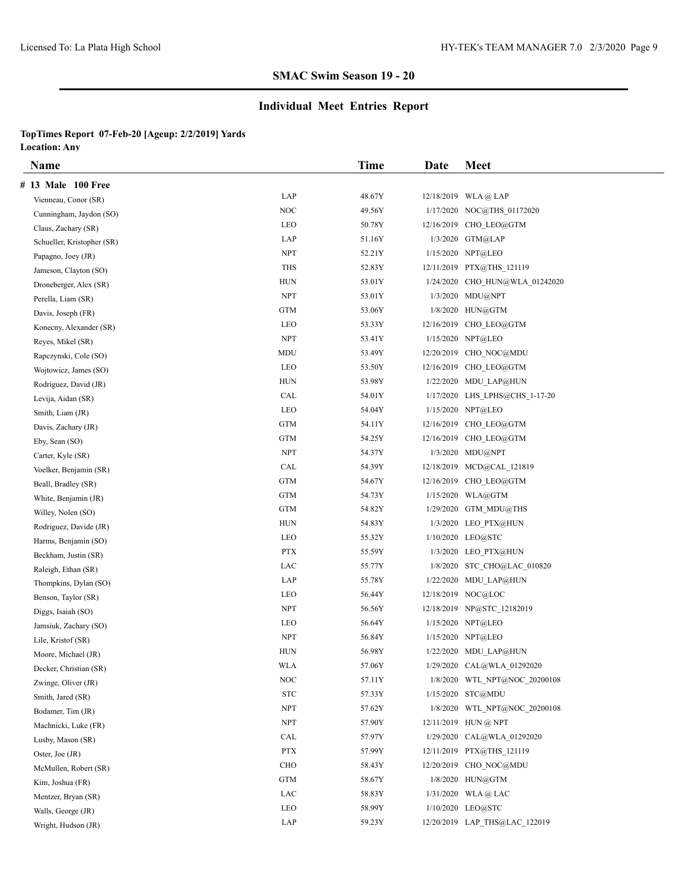# **Individual Meet Entries Report**

| <b>Name</b>                |                                 | <b>Time</b> | Date | <b>Meet</b>                    |
|----------------------------|---------------------------------|-------------|------|--------------------------------|
| # 13 Male 100 Free         |                                 |             |      |                                |
| Vienneau, Conor (SR)       | LAP                             | 48.67Y      |      | $12/18/2019$ WLA @ LAP         |
| Cunningham, Jaydon (SO)    | NOC                             | 49.56Y      |      | 1/17/2020 NOC@THS 01172020     |
| Claus, Zachary (SR)        | LEO                             | 50.78Y      |      | 12/16/2019 CHO LEO@GTM         |
| Schueller, Kristopher (SR) | LAP                             | 51.16Y      |      | 1/3/2020 GTM@LAP               |
| Papagno, Joey (JR)         | <b>NPT</b>                      | 52.21Y      |      | 1/15/2020 NPT@LEO              |
| Jameson, Clayton (SO)      | <b>THS</b>                      | 52.83Y      |      | 12/11/2019 PTX@THS 121119      |
| Droneberger, Alex (SR)     | HUN                             | 53.01Y      |      | 1/24/2020 CHO HUN@WLA 01242020 |
| Perella, Liam (SR)         | <b>NPT</b>                      | 53.01Y      |      | 1/3/2020 MDU@NPT               |
| Davis, Joseph (FR)         | <b>GTM</b>                      | 53.06Y      |      | 1/8/2020 HUN@GTM               |
| Konecny, Alexander (SR)    | LEO                             | 53.33Y      |      | 12/16/2019 CHO LEO@GTM         |
| Reyes, Mikel (SR)          | <b>NPT</b>                      | 53.41Y      |      | 1/15/2020 NPT@LEO              |
| Rapczynski, Cole (SO)      | MDU                             | 53.49Y      |      | 12/20/2019 CHO NOC@MDU         |
| Wojtowicz, James (SO)      | LEO                             | 53.50Y      |      | 12/16/2019 CHO LEO@GTM         |
| Rodriguez, David (JR)      | <b>HUN</b>                      | 53.98Y      |      | 1/22/2020 MDU LAP@HUN          |
| Levija, Aidan (SR)         | CAL                             | 54.01Y      |      | 1/17/2020 LHS LPHS@CHS 1-17-20 |
| Smith, Liam (JR)           | LEO                             | 54.04Y      |      | 1/15/2020 NPT@LEO              |
| Davis, Zachary (JR)        | <b>GTM</b>                      | 54.11Y      |      | 12/16/2019 CHO LEO@GTM         |
| Eby, Sean (SO)             | <b>GTM</b>                      | 54.25Y      |      | 12/16/2019 CHO LEO@GTM         |
| Carter, Kyle (SR)          | <b>NPT</b>                      | 54.37Y      |      | 1/3/2020 MDU@NPT               |
| Voelker, Benjamin (SR)     | CAL                             | 54.39Y      |      | 12/18/2019 MCD@CAL 121819      |
| Beall, Bradley (SR)        | <b>GTM</b>                      | 54.67Y      |      | 12/16/2019 CHO LEO@GTM         |
| White, Benjamin (JR)       | <b>GTM</b>                      | 54.73Y      |      | 1/15/2020 WLA@GTM              |
| Willey, Nolen (SO)         | <b>GTM</b>                      | 54.82Y      |      | $1/29/2020$ GTM MDU@THS        |
| Rodriguez, Davide (JR)     | <b>HUN</b>                      | 54.83Y      |      | 1/3/2020 LEO PTX@HUN           |
| Harms, Benjamin (SO)       | LEO                             | 55.32Y      |      | 1/10/2020 LEO@STC              |
| Beckham, Justin (SR)       | <b>PTX</b>                      | 55.59Y      |      | 1/3/2020 LEO PTX@HUN           |
| Raleigh, Ethan (SR)        | LAC                             | 55.77Y      |      | 1/8/2020 STC CHO@LAC 010820    |
| Thompkins, Dylan (SO)      | LAP                             | 55.78Y      |      | 1/22/2020 MDU LAP@HUN          |
| Benson, Taylor (SR)        | LEO                             | 56.44Y      |      | 12/18/2019 NOC@LOC             |
| Diggs, Isaiah (SO)         | <b>NPT</b>                      | 56.56Y      |      | 12/18/2019 NP@STC 12182019     |
| Jamsiuk, Zachary (SO)      | LEO                             | 56.64Y      |      | 1/15/2020 NPT@LEO              |
| Lile, Kristof (SR)         | <b>NPT</b>                      | 56.84Y      |      | 1/15/2020 NPT@LEO              |
| Moore, Michael (JR)        | <b>HUN</b>                      | 56.98Y      |      | 1/22/2020 MDU LAP@HUN          |
| Decker, Christian (SR)     | <b>WLA</b>                      | 57.06Y      |      | 1/29/2020 CAL@WLA 01292020     |
| Zwinge, Oliver (JR)        | NOC                             | 57.11Y      |      | 1/8/2020 WTL NPT@NOC 20200108  |
| Smith, Jared (SR)          | ${\hbox{\footnotesize\rm STC}}$ | 57.33Y      |      | 1/15/2020 STC@MDU              |
| Bodamer, Tim (JR)          | <b>NPT</b>                      | 57.62Y      |      | 1/8/2020 WTL_NPT@NOC_20200108  |
| Machnicki, Luke (FR)       | <b>NPT</b>                      | 57.90Y      |      | 12/11/2019 HUN @ NPT           |
| Lusby, Mason (SR)          | CAL                             | 57.97Y      |      | 1/29/2020 CAL@WLA 01292020     |
| Oster, Joe (JR)            | PTX                             | 57.99Y      |      | 12/11/2019 PTX@THS 121119      |
| McMullen, Robert (SR)      | CHO                             | 58.43Y      |      | 12/20/2019 CHO NOC@MDU         |
| Kim, Joshua (FR)           | <b>GTM</b>                      | 58.67Y      |      | 1/8/2020 HUN@GTM               |
| Mentzer, Bryan (SR)        | LAC                             | 58.83Y      |      | $1/31/2020$ WLA @ LAC          |
| Walls, George (JR)         | LEO                             | 58.99Y      |      | 1/10/2020 LEO@STC              |
| Wright, Hudson (JR)        | LAP                             | 59.23Y      |      | 12/20/2019 LAP_THS@LAC_122019  |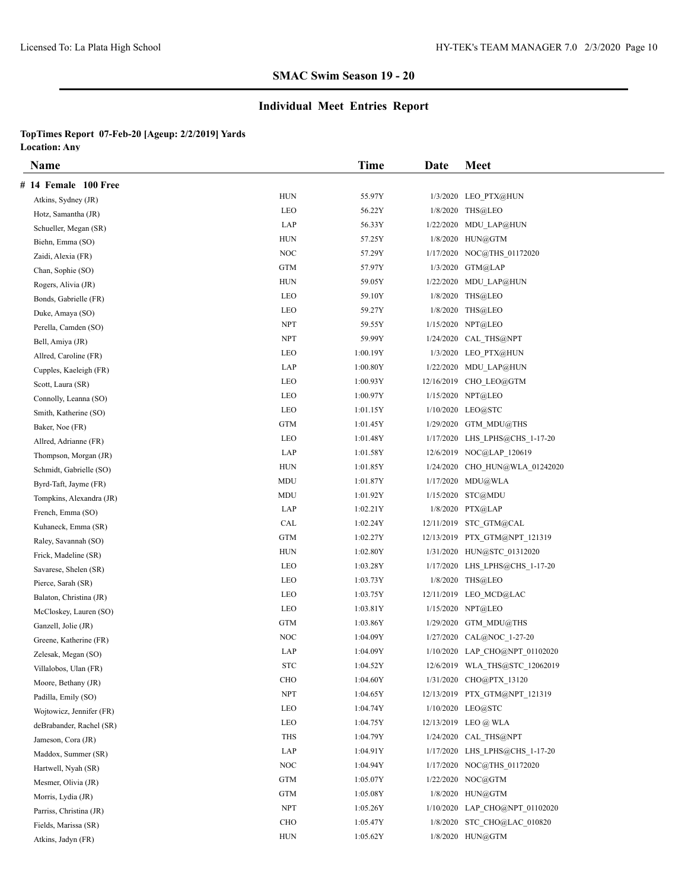# **Individual Meet Entries Report**

| Name                     |             | <b>Time</b> | Date | <b>Meet</b>                    |
|--------------------------|-------------|-------------|------|--------------------------------|
| # 14 Female 100 Free     |             |             |      |                                |
| Atkins, Sydney (JR)      | <b>HUN</b>  | 55.97Y      |      | 1/3/2020 LEO PTX@HUN           |
| Hotz, Samantha (JR)      | LEO         | 56.22Y      |      | 1/8/2020 THS@LEO               |
| Schueller, Megan (SR)    | LAP         | 56.33Y      |      | 1/22/2020 MDU LAP@HUN          |
| Biehn, Emma (SO)         | ${\rm HUN}$ | 57.25Y      |      | 1/8/2020 HUN@GTM               |
| Zaidi, Alexia (FR)       | $\rm NOC$   | 57.29Y      |      | 1/17/2020 NOC@THS 01172020     |
| Chan, Sophie (SO)        | <b>GTM</b>  | 57.97Y      |      | 1/3/2020 GTM@LAP               |
| Rogers, Alivia (JR)      | <b>HUN</b>  | 59.05Y      |      | 1/22/2020 MDU LAP@HUN          |
| Bonds, Gabrielle (FR)    | LEO         | 59.10Y      |      | 1/8/2020 THS@LEO               |
| Duke, Amaya (SO)         | LEO         | 59.27Y      |      | 1/8/2020 THS@LEO               |
| Perella, Camden (SO)     | <b>NPT</b>  | 59.55Y      |      | 1/15/2020 NPT@LEO              |
| Bell, Amiya (JR)         | <b>NPT</b>  | 59.99Y      |      | 1/24/2020 CAL THS@NPT          |
| Allred, Caroline (FR)    | LEO         | 1:00.19Y    |      | 1/3/2020 LEO PTX@HUN           |
| Cupples, Kaeleigh (FR)   | LAP         | 1:00.80Y    |      | 1/22/2020 MDU LAP@HUN          |
| Scott, Laura (SR)        | LEO         | 1:00.93Y    |      | 12/16/2019 CHO LEO@GTM         |
| Connolly, Leanna (SO)    | LEO         | 1:00.97Y    |      | 1/15/2020 NPT@LEO              |
| Smith, Katherine (SO)    | LEO         | 1:01.15Y    |      | 1/10/2020 LEO@STC              |
| Baker, Noe (FR)          | <b>GTM</b>  | 1:01.45Y    |      | 1/29/2020 GTM MDU@THS          |
| Allred, Adrianne (FR)    | LEO         | 1:01.48Y    |      | 1/17/2020 LHS LPHS@CHS 1-17-20 |
| Thompson, Morgan (JR)    | LAP         | 1:01.58Y    |      | 12/6/2019 NOC@LAP 120619       |
| Schmidt, Gabrielle (SO)  | <b>HUN</b>  | 1:01.85Y    |      | 1/24/2020 CHO HUN@WLA 01242020 |
| Byrd-Taft, Jayme (FR)    | MDU         | 1:01.87Y    |      | 1/17/2020 MDU@WLA              |
| Tompkins, Alexandra (JR) | MDU         | 1:01.92Y    |      | 1/15/2020 STC@MDU              |
| French, Emma (SO)        | LAP         | 1:02.21Y    |      | 1/8/2020 PTX@LAP               |
| Kuhaneck, Emma (SR)      | CAL         | 1:02.24Y    |      | 12/11/2019 STC GTM@CAL         |
| Raley, Savannah (SO)     | <b>GTM</b>  | 1:02.27Y    |      | 12/13/2019 PTX GTM@NPT 121319  |
| Frick, Madeline (SR)     | <b>HUN</b>  | 1:02.80Y    |      | 1/31/2020 HUN@STC 01312020     |
| Savarese, Shelen (SR)    | LEO         | 1:03.28Y    |      | 1/17/2020 LHS LPHS@CHS 1-17-20 |
| Pierce, Sarah (SR)       | LEO         | 1:03.73Y    |      | 1/8/2020 THS@LEO               |
| Balaton, Christina (JR)  | LEO         | 1:03.75Y    |      | 12/11/2019 LEO MCD@LAC         |
| McCloskey, Lauren (SO)   | LEO         | 1:03.81Y    |      | 1/15/2020 NPT@LEO              |
| Ganzell, Jolie (JR)      | GTM         | 1:03.86Y    |      | 1/29/2020 GTM MDU@THS          |
| Greene, Katherine (FR)   | NOC         | 1:04.09Y    |      | 1/27/2020 CAL@NOC 1-27-20      |
| Zelesak, Megan (SO)      | LAP         | 1:04.09Y    |      | 1/10/2020 LAP_CHO@NPT_01102020 |
| Villalobos, Ulan (FR)    | <b>STC</b>  | 1:04.52Y    |      | 12/6/2019 WLA THS@STC 12062019 |
| Moore, Bethany (JR)      | ${\rm CHO}$ | 1:04.60Y    |      | 1/31/2020 CHO@PTX 13120        |
| Padilla, Emily (SO)      | <b>NPT</b>  | 1:04.65Y    |      | 12/13/2019 PTX GTM@NPT 121319  |
| Wojtowicz, Jennifer (FR) | LEO         | 1:04.74Y    |      | 1/10/2020 LEO@STC              |
| deBrabander, Rachel (SR) | LEO         | 1:04.75Y    |      | 12/13/2019 LEO @ WLA           |
| Jameson, Cora (JR)       | <b>THS</b>  | 1:04.79Y    |      | 1/24/2020 CAL THS@NPT          |
| Maddox, Summer (SR)      | LAP         | 1:04.91Y    |      | 1/17/2020 LHS LPHS@CHS 1-17-20 |
| Hartwell, Nyah (SR)      | $\rm NOC$   | 1:04.94Y    |      | 1/17/2020 NOC@THS_01172020     |
| Mesmer, Olivia (JR)      | GTM         | 1:05.07Y    |      | 1/22/2020 NOC@GTM              |
| Morris, Lydia (JR)       | GTM         | 1:05.08Y    |      | 1/8/2020 HUN@GTM               |
| Parriss, Christina (JR)  | <b>NPT</b>  | 1:05.26Y    |      | 1/10/2020 LAP_CHO@NPT_01102020 |
| Fields, Marissa (SR)     | <b>CHO</b>  | 1:05.47Y    |      | 1/8/2020 STC CHO@LAC 010820    |
| Atkins, Jadyn (FR)       | <b>HUN</b>  | 1:05.62Y    |      | 1/8/2020 HUN@GTM               |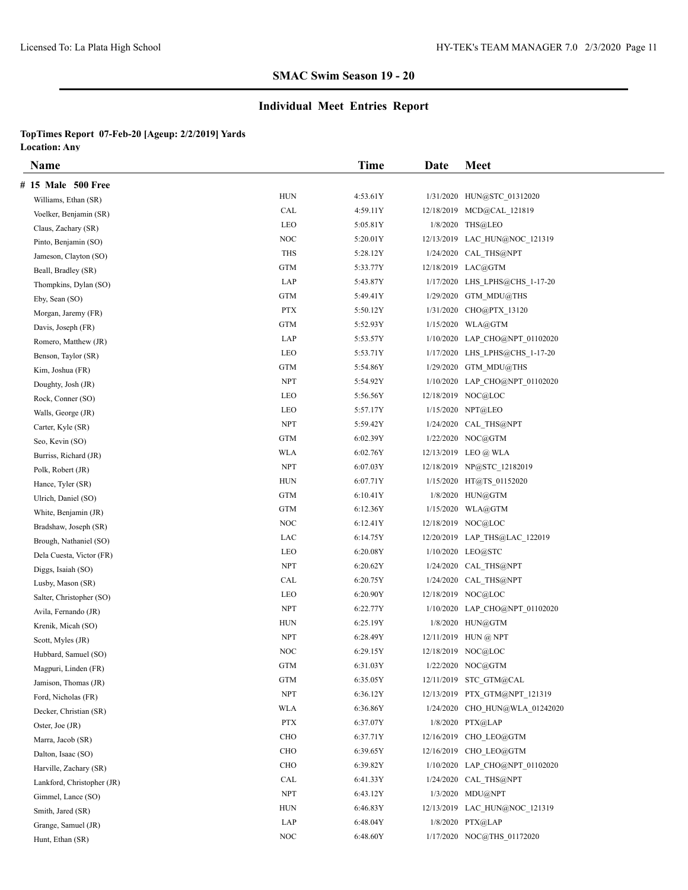# **Individual Meet Entries Report**

| <b>Name</b>                |             | <b>Time</b> | Date | <b>Meet</b>                    |
|----------------------------|-------------|-------------|------|--------------------------------|
| # 15 Male 500 Free         |             |             |      |                                |
| Williams, Ethan (SR)       | <b>HUN</b>  | 4:53.61Y    |      | 1/31/2020 HUN@STC 01312020     |
| Voelker, Benjamin (SR)     | CAL         | 4:59.11Y    |      | 12/18/2019 MCD@CAL 121819      |
| Claus, Zachary (SR)        | LEO         | 5:05.81Y    |      | 1/8/2020 THS@LEO               |
| Pinto, Benjamin (SO)       | NOC         | 5:20.01Y    |      | 12/13/2019 LAC HUN@NOC 121319  |
| Jameson, Clayton (SO)      | <b>THS</b>  | 5:28.12Y    |      | 1/24/2020 CAL THS@NPT          |
| Beall, Bradley (SR)        | GTM         | 5:33.77Y    |      | 12/18/2019 LAC@GTM             |
| Thompkins, Dylan (SO)      | LAP         | 5:43.87Y    |      | 1/17/2020 LHS LPHS@CHS 1-17-20 |
| Eby, Sean (SO)             | <b>GTM</b>  | 5:49.41Y    |      | 1/29/2020 GTM MDU@THS          |
| Morgan, Jaremy (FR)        | <b>PTX</b>  | 5:50.12Y    |      | 1/31/2020 CHO@PTX 13120        |
| Davis, Joseph (FR)         | <b>GTM</b>  | 5:52.93Y    |      | 1/15/2020 WLA@GTM              |
| Romero, Matthew (JR)       | LAP         | 5:53.57Y    |      | 1/10/2020 LAP CHO@NPT 01102020 |
| Benson, Taylor (SR)        | LEO         | 5:53.71Y    |      | 1/17/2020 LHS LPHS@CHS 1-17-20 |
| Kim, Joshua (FR)           | GTM         | 5:54.86Y    |      | 1/29/2020 GTM MDU@THS          |
| Doughty, Josh (JR)         | <b>NPT</b>  | 5:54.92Y    |      | 1/10/2020 LAP CHO@NPT 01102020 |
| Rock, Conner (SO)          | LEO         | 5:56.56Y    |      | 12/18/2019 NOC@LOC             |
| Walls, George (JR)         | LEO         | 5:57.17Y    |      | 1/15/2020 NPT@LEO              |
| Carter, Kyle (SR)          | <b>NPT</b>  | 5:59.42Y    |      | 1/24/2020 CAL THS@NPT          |
| Seo, Kevin (SO)            | GTM         | 6:02.39Y    |      | 1/22/2020 NOC@GTM              |
| Burriss, Richard (JR)      | <b>WLA</b>  | 6:02.76Y    |      | 12/13/2019 LEO @ WLA           |
| Polk, Robert (JR)          | <b>NPT</b>  | 6:07.03Y    |      | 12/18/2019 NP@STC 12182019     |
| Hance, Tyler (SR)          | <b>HUN</b>  | 6:07.71Y    |      | 1/15/2020 HT@TS 01152020       |
| Ulrich, Daniel (SO)        | <b>GTM</b>  | 6:10.41Y    |      | 1/8/2020 HUN@GTM               |
| White, Benjamin (JR)       | <b>GTM</b>  | 6:12.36Y    |      | $1/15/2020$ WLA@GTM            |
| Bradshaw, Joseph (SR)      | NOC         | 6:12.41Y    |      | 12/18/2019 NOC@LOC             |
| Brough, Nathaniel (SO)     | LAC         | 6:14.75Y    |      | 12/20/2019 LAP THS@LAC 122019  |
| Dela Cuesta, Victor (FR)   | LEO         | 6:20.08Y    |      | 1/10/2020 LEO@STC              |
| Diggs, Isaiah (SO)         | <b>NPT</b>  | 6:20.62Y    |      | 1/24/2020 CAL THS@NPT          |
| Lusby, Mason (SR)          | CAL         | 6:20.75Y    |      | 1/24/2020 CAL THS@NPT          |
| Salter, Christopher (SO)   | LEO         | 6:20.90Y    |      | 12/18/2019 NOC@LOC             |
| Avila, Fernando (JR)       | <b>NPT</b>  | 6:22.77Y    |      | 1/10/2020 LAP CHO@NPT 01102020 |
| Krenik, Micah (SO)         | <b>HUN</b>  | 6:25.19Y    |      | 1/8/2020 HUN@GTM               |
| Scott, Myles (JR)          | <b>NPT</b>  | 6:28.49Y    |      | $12/11/2019$ HUN @ NPT         |
| Hubbard, Samuel (SO)       | <b>NOC</b>  | 6:29.15Y    |      | 12/18/2019 NOC@LOC             |
| Magpuri, Linden (FR)       | <b>GTM</b>  | 6:31.03Y    |      | 1/22/2020 NOC@GTM              |
| Jamison, Thomas (JR)       | GTM         | 6:35.05Y    |      | 12/11/2019 STC GTM@CAL         |
| Ford, Nicholas (FR)        | <b>NPT</b>  | 6:36.12Y    |      | 12/13/2019 PTX GTM@NPT 121319  |
| Decker, Christian (SR)     | <b>WLA</b>  | 6:36.86Y    |      | 1/24/2020 CHO HUN@WLA 01242020 |
| Oster, Joe (JR)            | <b>PTX</b>  | 6:37.07Y    |      | 1/8/2020 PTX@LAP               |
| Marra, Jacob (SR)          | CHO         | 6:37.71Y    |      | 12/16/2019 CHO LEO@GTM         |
| Dalton, Isaac (SO)         | ${\rm CHO}$ | 6:39.65Y    |      | 12/16/2019 CHO LEO@GTM         |
| Harville, Zachary (SR)     | CHO         | 6:39.82Y    |      | 1/10/2020 LAP_CHO@NPT_01102020 |
| Lankford, Christopher (JR) | CAL         | 6:41.33Y    |      | 1/24/2020 CAL_THS@NPT          |
| Gimmel, Lance (SO)         | <b>NPT</b>  | 6:43.12Y    |      | 1/3/2020 MDU@NPT               |
| Smith, Jared (SR)          | HUN         | 6:46.83Y    |      | 12/13/2019 LAC HUN@NOC 121319  |
| Grange, Samuel (JR)        | LAP         | 6:48.04Y    |      | 1/8/2020 PTX@LAP               |
| Hunt, Ethan (SR)           | NOC         | 6:48.60Y    |      | 1/17/2020 NOC@THS 01172020     |
|                            |             |             |      |                                |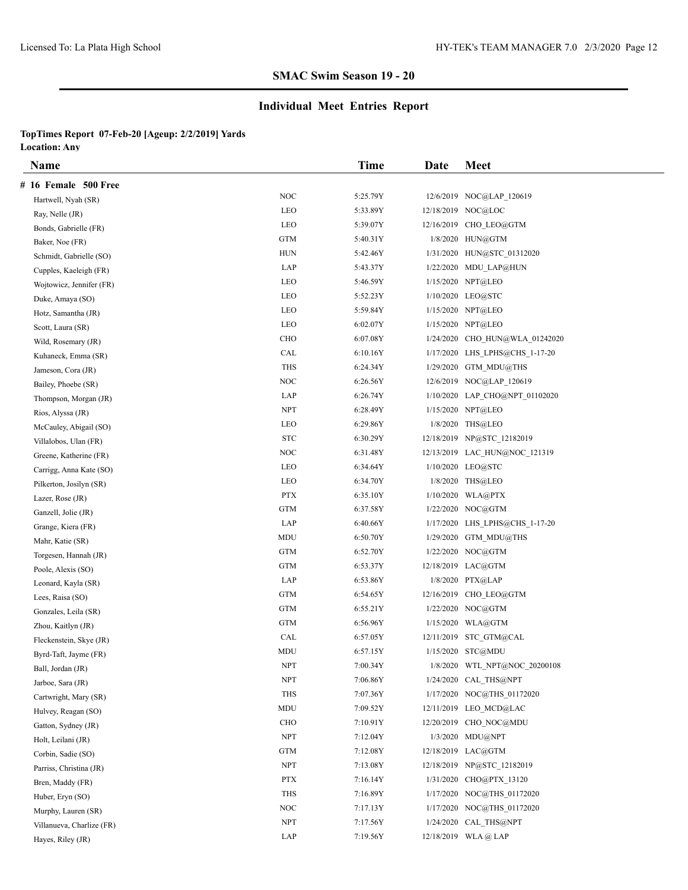# **Individual Meet Entries Report**

| Name                      |            | Time     | Date | <b>Meet</b>                    |
|---------------------------|------------|----------|------|--------------------------------|
| # 16 Female 500 Free      |            |          |      |                                |
| Hartwell, Nyah (SR)       | NOC        | 5:25.79Y |      | 12/6/2019 NOC@LAP 120619       |
| Ray, Nelle (JR)           | LEO        | 5:33.89Y |      | 12/18/2019 NOC@LOC             |
| Bonds, Gabrielle (FR)     | LEO        | 5:39.07Y |      | 12/16/2019 CHO LEO@GTM         |
| Baker, Noe (FR)           | <b>GTM</b> | 5:40.31Y |      | 1/8/2020 HUN@GTM               |
| Schmidt, Gabrielle (SO)   | <b>HUN</b> | 5:42.46Y |      | 1/31/2020 HUN@STC_01312020     |
| Cupples, Kaeleigh (FR)    | LAP        | 5:43.37Y |      | 1/22/2020 MDU LAP@HUN          |
| Wojtowicz, Jennifer (FR)  | LEO        | 5:46.59Y |      | 1/15/2020 NPT@LEO              |
| Duke, Amaya (SO)          | LEO        | 5:52.23Y |      | 1/10/2020 LEO@STC              |
| Hotz, Samantha (JR)       | LEO        | 5:59.84Y |      | 1/15/2020 NPT@LEO              |
| Scott, Laura (SR)         | LEO        | 6:02.07Y |      | 1/15/2020 NPT@LEO              |
| Wild, Rosemary (JR)       | <b>CHO</b> | 6:07.08Y |      | 1/24/2020 CHO HUN@WLA 01242020 |
| Kuhaneck, Emma (SR)       | CAL        | 6:10.16Y |      | 1/17/2020 LHS LPHS@CHS 1-17-20 |
| Jameson, Cora (JR)        | THS        | 6:24.34Y |      | 1/29/2020 GTM MDU@THS          |
| Bailey, Phoebe (SR)       | NOC        | 6:26.56Y |      | 12/6/2019 NOC@LAP_120619       |
| Thompson, Morgan (JR)     | LAP        | 6:26.74Y |      | 1/10/2020 LAP_CHO@NPT_01102020 |
| Rios, Alyssa (JR)         | <b>NPT</b> | 6:28.49Y |      | 1/15/2020 NPT@LEO              |
| McCauley, Abigail (SO)    | LEO        | 6:29.86Y |      | 1/8/2020 THS@LEO               |
| Villalobos, Ulan (FR)     | <b>STC</b> | 6:30.29Y |      | 12/18/2019 NP@STC 12182019     |
| Greene, Katherine (FR)    | NOC        | 6:31.48Y |      | 12/13/2019 LAC HUN@NOC 121319  |
| Carrigg, Anna Kate (SO)   | LEO        | 6:34.64Y |      | 1/10/2020 LEO@STC              |
| Pilkerton, Josilyn (SR)   | LEO        | 6:34.70Y |      | 1/8/2020 THS@LEO               |
| Lazer, Rose (JR)          | <b>PTX</b> | 6:35.10Y |      | 1/10/2020 WLA@PTX              |
| Ganzell, Jolie (JR)       | <b>GTM</b> | 6:37.58Y |      | 1/22/2020 NOC@GTM              |
| Grange, Kiera (FR)        | LAP        | 6:40.66Y |      | 1/17/2020 LHS LPHS@CHS 1-17-20 |
| Mahr, Katie (SR)          | MDU        | 6:50.70Y |      | 1/29/2020 GTM MDU@THS          |
| Torgesen, Hannah (JR)     | <b>GTM</b> | 6:52.70Y |      | 1/22/2020 NOC@GTM              |
| Poole, Alexis (SO)        | <b>GTM</b> | 6:53.37Y |      | 12/18/2019 LAC@GTM             |
| Leonard, Kayla (SR)       | LAP        | 6:53.86Y |      | 1/8/2020 PTX@LAP               |
| Lees, Raisa (SO)          | <b>GTM</b> | 6:54.65Y |      | 12/16/2019 CHO LEO@GTM         |
| Gonzales, Leila (SR)      | <b>GTM</b> | 6:55.21Y |      | 1/22/2020 NOC@GTM              |
| Zhou, Kaitlyn (JR)        | <b>GTM</b> | 6:56.96Y |      | 1/15/2020 WLA@GTM              |
| Fleckenstein, Skye (JR)   | CAL        | 6:57.05Y |      | 12/11/2019 STC_GTM@CAL         |
| Byrd-Taft, Jayme (FR)     | MDU        | 6:57.15Y |      | 1/15/2020 STC@MDU              |
| Ball, Jordan (JR)         | <b>NPT</b> | 7:00.34Y |      | 1/8/2020 WTL_NPT@NOC_20200108  |
| Jarboe, Sara (JR)         | <b>NPT</b> | 7:06.86Y |      | 1/24/2020 CAL THS@NPT          |
| Cartwright, Mary (SR)     | THS        | 7:07.36Y |      | 1/17/2020 NOC@THS 01172020     |
| Hulvey, Reagan (SO)       | MDU        | 7:09.52Y |      | 12/11/2019 LEO MCD@LAC         |
| Gatton, Sydney (JR)       | CHO        | 7:10.91Y |      | 12/20/2019 CHO NOC@MDU         |
| Holt, Leilani (JR)        | <b>NPT</b> | 7:12.04Y |      | 1/3/2020 MDU@NPT               |
| Corbin, Sadie (SO)        | <b>GTM</b> | 7:12.08Y |      | 12/18/2019 LAC@GTM             |
| Parriss, Christina (JR)   | <b>NPT</b> | 7:13.08Y |      | 12/18/2019 NP@STC_12182019     |
| Bren, Maddy (FR)          | <b>PTX</b> | 7:16.14Y |      | 1/31/2020 CHO@PTX 13120        |
| Huber, Eryn (SO)          | THS        | 7:16.89Y |      | 1/17/2020 NOC@THS 01172020     |
| Murphy, Lauren (SR)       | NOC        | 7:17.13Y |      | 1/17/2020 NOC@THS_01172020     |
| Villanueva, Charlize (FR) | <b>NPT</b> | 7:17.56Y |      | 1/24/2020 CAL THS@NPT          |
| Hayes, Riley (JR)         | LAP        | 7:19.56Y |      | 12/18/2019 WLA@LAP             |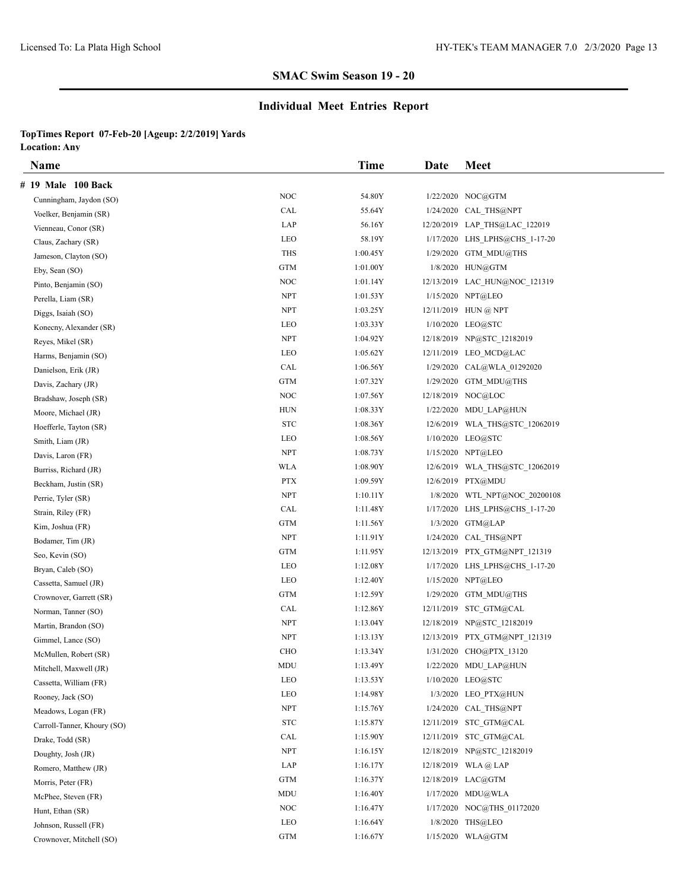# **Individual Meet Entries Report**

| <b>Name</b>                 |                                 | <b>Time</b> | Date | <b>Meet</b>                    |
|-----------------------------|---------------------------------|-------------|------|--------------------------------|
| # 19 Male 100 Back          |                                 |             |      |                                |
| Cunningham, Jaydon (SO)     | NOC                             | 54.80Y      |      | 1/22/2020 NOC@GTM              |
| Voelker, Benjamin (SR)      | CAL                             | 55.64Y      |      | 1/24/2020 CAL THS@NPT          |
| Vienneau, Conor (SR)        | LAP                             | 56.16Y      |      | 12/20/2019 LAP_THS@LAC_122019  |
| Claus, Zachary (SR)         | LEO                             | 58.19Y      |      | 1/17/2020 LHS LPHS@CHS 1-17-20 |
| Jameson, Clayton (SO)       | <b>THS</b>                      | 1:00.45Y    |      | 1/29/2020 GTM MDU@THS          |
| Eby, Sean (SO)              | GTM                             | 1:01.00Y    |      | 1/8/2020 HUN@GTM               |
| Pinto, Benjamin (SO)        | NOC                             | 1:01.14Y    |      | 12/13/2019 LAC HUN@NOC 121319  |
| Perella, Liam (SR)          | <b>NPT</b>                      | 1:01.53Y    |      | 1/15/2020 NPT@LEO              |
| Diggs, Isaiah (SO)          | <b>NPT</b>                      | 1:03.25Y    |      | 12/11/2019 HUN @ NPT           |
| Konecny, Alexander (SR)     | LEO                             | 1:03.33Y    |      | 1/10/2020 LEO@STC              |
| Reyes, Mikel (SR)           | <b>NPT</b>                      | 1:04.92Y    |      | 12/18/2019 NP@STC 12182019     |
| Harms, Benjamin (SO)        | LEO                             | 1:05.62Y    |      | 12/11/2019 LEO MCD@LAC         |
| Danielson, Erik (JR)        | CAL                             | 1:06.56Y    |      | 1/29/2020 CAL@WLA 01292020     |
| Davis, Zachary (JR)         | <b>GTM</b>                      | 1:07.32Y    |      | 1/29/2020 GTM MDU@THS          |
| Bradshaw, Joseph (SR)       | NOC                             | 1:07.56Y    |      | 12/18/2019 NOC@LOC             |
| Moore, Michael (JR)         | <b>HUN</b>                      | 1:08.33Y    |      | 1/22/2020 MDU LAP@HUN          |
| Hoefferle, Tayton (SR)      | <b>STC</b>                      | 1:08.36Y    |      | 12/6/2019 WLA THS@STC 12062019 |
| Smith, Liam (JR)            | LEO                             | 1:08.56Y    |      | 1/10/2020 LEO@STC              |
| Davis, Laron (FR)           | <b>NPT</b>                      | 1:08.73Y    |      | 1/15/2020 NPT@LEO              |
| Burriss, Richard (JR)       | <b>WLA</b>                      | 1:08.90Y    |      | 12/6/2019 WLA THS@STC 12062019 |
| Beckham, Justin (SR)        | <b>PTX</b>                      | 1:09.59Y    |      | 12/6/2019 PTX@MDU              |
| Perrie, Tyler (SR)          | <b>NPT</b>                      | 1:10.11Y    |      | 1/8/2020 WTL NPT@NOC 20200108  |
| Strain, Riley (FR)          | CAL                             | 1:11.48Y    |      | 1/17/2020 LHS LPHS@CHS 1-17-20 |
| Kim, Joshua (FR)            | <b>GTM</b>                      | 1:11.56Y    |      | 1/3/2020 GTM@LAP               |
| Bodamer, Tim (JR)           | <b>NPT</b>                      | 1:11.91Y    |      | 1/24/2020 CAL THS@NPT          |
| Seo, Kevin (SO)             | <b>GTM</b>                      | 1:11.95Y    |      | 12/13/2019 PTX GTM@NPT 121319  |
| Bryan, Caleb (SO)           | LEO                             | 1:12.08Y    |      | 1/17/2020 LHS LPHS@CHS 1-17-20 |
| Cassetta, Samuel (JR)       | LEO                             | 1:12.40Y    |      | 1/15/2020 NPT@LEO              |
| Crownover, Garrett (SR)     | <b>GTM</b>                      | 1:12.59Y    |      | 1/29/2020 GTM MDU@THS          |
| Norman, Tanner (SO)         | CAL                             | 1:12.86Y    |      | 12/11/2019 STC GTM@CAL         |
| Martin, Brandon (SO)        | <b>NPT</b>                      | 1:13.04Y    |      | 12/18/2019 NP@STC 12182019     |
| Gimmel, Lance (SO)          | <b>NPT</b>                      | 1:13.13Y    |      | 12/13/2019 PTX GTM@NPT 121319  |
| McMullen, Robert (SR)       | <b>CHO</b>                      | 1:13.34Y    |      | 1/31/2020 CHO@PTX 13120        |
| Mitchell, Maxwell (JR)      | MDU                             | 1:13.49Y    |      | 1/22/2020 MDU_LAP@HUN          |
| Cassetta, William (FR)      | LEO                             | 1:13.53Y    |      | 1/10/2020 LEO@STC              |
| Rooney, Jack (SO)           | LEO                             | 1:14.98Y    |      | 1/3/2020 LEO PTX@HUN           |
| Meadows, Logan (FR)         | <b>NPT</b>                      | 1:15.76Y    |      | 1/24/2020 CAL_THS@NPT          |
| Carroll-Tanner, Khoury (SO) | ${\hbox{\footnotesize\rm STC}}$ | 1:15.87Y    |      | 12/11/2019 STC GTM@CAL         |
| Drake, Todd (SR)            | CAL                             | 1:15.90Y    |      | 12/11/2019 STC GTM@CAL         |
| Doughty, Josh (JR)          | <b>NPT</b>                      | 1:16.15Y    |      | 12/18/2019 NP@STC 12182019     |
| Romero, Matthew (JR)        | LAP                             | 1:16.17Y    |      | $12/18/2019$ WLA @ LAP         |
| Morris, Peter (FR)          | <b>GTM</b>                      | 1:16.37Y    |      | 12/18/2019 LAC@GTM             |
| McPhee, Steven (FR)         | MDU                             | 1:16.40Y    |      | 1/17/2020 MDU@WLA              |
| Hunt, Ethan (SR)            | NOC                             | 1:16.47Y    |      | 1/17/2020 NOC@THS 01172020     |
| Johnson, Russell (FR)       | LEO                             | 1:16.64Y    |      | 1/8/2020 THS@LEO               |
| Crownover, Mitchell (SO)    | <b>GTM</b>                      | 1:16.67Y    |      | 1/15/2020 WLA@GTM              |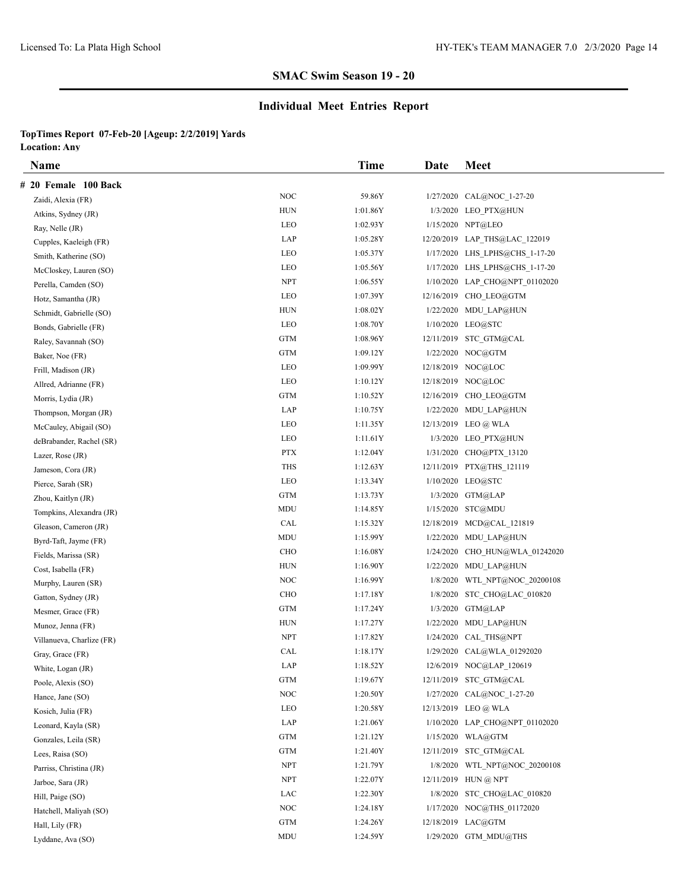### **Individual Meet Entries Report**

| Name                      |                      | Time     | Date      | <b>Meet</b>                    |
|---------------------------|----------------------|----------|-----------|--------------------------------|
| # 20 Female 100 Back      |                      |          |           |                                |
| Zaidi, Alexia (FR)        | <b>NOC</b>           | 59.86Y   | 1/27/2020 | CAL@NOC 1-27-20                |
| Atkins, Sydney (JR)       | <b>HUN</b>           | 1:01.86Y | 1/3/2020  | LEO PTX@HUN                    |
| Ray, Nelle (JR)           | <b>LEO</b>           | 1:02.93Y |           | 1/15/2020 NPT@LEO              |
| Cupples, Kaeleigh (FR)    | LAP                  | 1:05.28Y |           | 12/20/2019 LAP_THS@LAC_122019  |
| Smith, Katherine (SO)     | <b>LEO</b>           | 1:05.37Y |           | 1/17/2020 LHS LPHS@CHS 1-17-20 |
| McCloskey, Lauren (SO)    | LEO                  | 1:05.56Y |           | 1/17/2020 LHS LPHS@CHS 1-17-20 |
| Perella, Camden (SO)      | <b>NPT</b>           | 1:06.55Y |           | 1/10/2020 LAP_CHO@NPT_01102020 |
| Hotz, Samantha (JR)       | <b>LEO</b>           | 1:07.39Y |           | 12/16/2019 CHO LEO@GTM         |
| Schmidt, Gabrielle (SO)   | <b>HUN</b>           | 1:08.02Y |           | 1/22/2020 MDU LAP@HUN          |
| Bonds, Gabrielle (FR)     | LEO                  | 1:08.70Y |           | 1/10/2020 LEO@STC              |
| Raley, Savannah (SO)      | <b>GTM</b>           | 1:08.96Y |           | 12/11/2019 STC GTM@CAL         |
| Baker, Noe (FR)           | <b>GTM</b>           | 1:09.12Y |           | 1/22/2020 NOC@GTM              |
| Frill, Madison (JR)       | LEO                  | 1:09.99Y |           | 12/18/2019 NOC@LOC             |
| Allred, Adrianne (FR)     | LEO                  | 1:10.12Y |           | 12/18/2019 NOC@LOC             |
| Morris, Lydia (JR)        | GTM                  | 1:10.52Y |           | 12/16/2019 CHO LEO@GTM         |
| Thompson, Morgan (JR)     | LAP                  | 1:10.75Y |           | 1/22/2020 MDU LAP@HUN          |
| McCauley, Abigail (SO)    | <b>LEO</b>           | 1:11.35Y |           | 12/13/2019 LEO @ WLA           |
| deBrabander, Rachel (SR)  | LEO                  | 1:11.61Y |           | 1/3/2020 LEO PTX@HUN           |
| Lazer, Rose (JR)          | <b>PTX</b>           | 1:12.04Y |           | 1/31/2020 CHO@PTX 13120        |
| Jameson, Cora (JR)        | THS                  | 1:12.63Y |           | 12/11/2019 PTX@THS 121119      |
| Pierce, Sarah (SR)        | <b>LEO</b>           | 1:13.34Y |           | 1/10/2020 LEO@STC              |
| Zhou, Kaitlyn (JR)        | <b>GTM</b>           | 1:13.73Y |           | 1/3/2020 GTM@LAP               |
| Tompkins, Alexandra (JR)  | MDU                  | 1:14.85Y |           | 1/15/2020 STC@MDU              |
| Gleason, Cameron (JR)     | CAL                  | 1:15.32Y |           | 12/18/2019 MCD@CAL_121819      |
| Byrd-Taft, Jayme (FR)     | MDU                  | 1:15.99Y |           | 1/22/2020 MDU LAP@HUN          |
| Fields, Marissa (SR)      | CHO                  | 1:16.08Y | 1/24/2020 | CHO HUN@WLA 01242020           |
| Cost, Isabella (FR)       | <b>HUN</b>           | 1:16.90Y |           | 1/22/2020 MDU LAP@HUN          |
| Murphy, Lauren (SR)       | NOC                  | 1:16.99Y | 1/8/2020  | WTL NPT@NOC 20200108           |
| Gatton, Sydney (JR)       | <b>CHO</b>           | 1:17.18Y | 1/8/2020  | STC CHO@LAC 010820             |
| Mesmer, Grace (FR)        | <b>GTM</b>           | 1:17.24Y | 1/3/2020  | GTM@LAP                        |
| Munoz, Jenna (FR)         | HUN                  | 1:17.27Y |           | 1/22/2020 MDU_LAP@HUN          |
| Villanueva, Charlize (FR) | <b>NPT</b>           | 1:17.82Y | 1/24/2020 | CAL THS@NPT                    |
| Gray, Grace (FR)          | CAL                  | 1:18.17Y |           | 1/29/2020 CAL@WLA 01292020     |
| White, Logan (JR)         | LAP                  | 1:18.52Y |           | 12/6/2019 NOC@LAP_120619       |
| Poole, Alexis (SO)        | $\operatorname{GTM}$ | 1:19.67Y |           | 12/11/2019 STC GTM@CAL         |
| Hance, Jane (SO)          | <b>NOC</b>           | 1:20.50Y |           | 1/27/2020 CAL@NOC 1-27-20      |
| Kosich, Julia (FR)        | LEO                  | 1:20.58Y |           | 12/13/2019 LEO @ WLA           |
| Leonard, Kayla (SR)       | LAP                  | 1:21.06Y |           | 1/10/2020 LAP CHO@NPT 01102020 |
| Gonzales, Leila (SR)      | GTM                  | 1:21.12Y |           | 1/15/2020 WLA@GTM              |
| Lees, Raisa (SO)          | $\operatorname{GTM}$ | 1:21.40Y |           | 12/11/2019 STC GTM@CAL         |
| Parriss, Christina (JR)   | <b>NPT</b>           | 1:21.79Y |           | 1/8/2020 WTL_NPT@NOC_20200108  |
| Jarboe, Sara (JR)         | ${\rm NPT}$          | 1:22.07Y |           | 12/11/2019 HUN @ NPT           |
| Hill, Paige (SO)          | LAC                  | 1:22.30Y |           | 1/8/2020 STC_CHO@LAC_010820    |
| Hatchell, Maliyah (SO)    | NOC                  | 1:24.18Y |           | 1/17/2020 NOC@THS_01172020     |
| Hall, Lily (FR)           | GTM                  | 1:24.26Y |           | 12/18/2019 LAC@GTM             |
| Lyddane, Ava (SO)         | MDU                  | 1:24.59Y |           | 1/29/2020 GTM MDU@THS          |
|                           |                      |          |           |                                |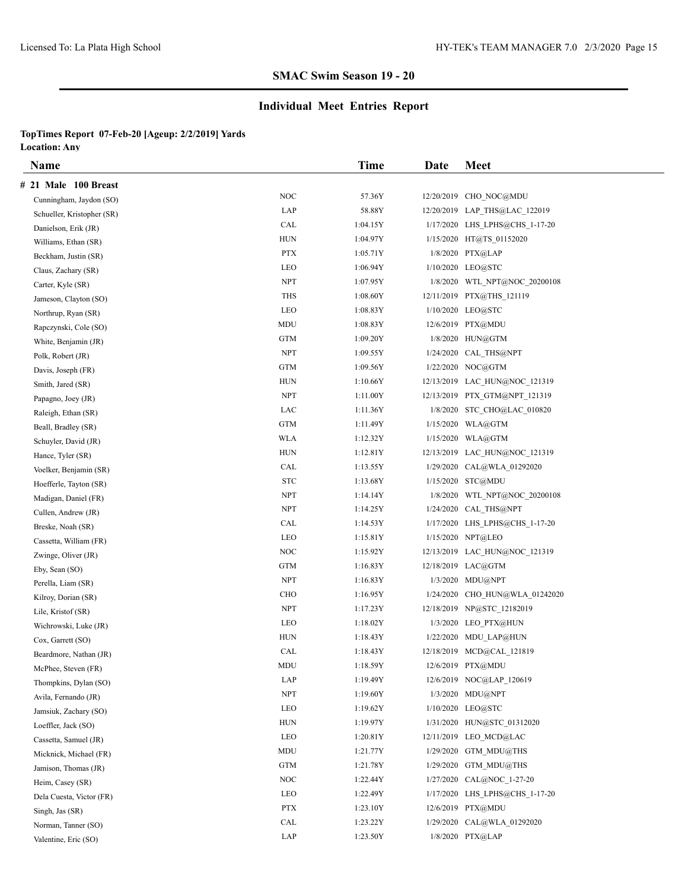### **Individual Meet Entries Report**

| Name                       |            | Time     | Date | <b>Meet</b>                    |
|----------------------------|------------|----------|------|--------------------------------|
| # 21 Male 100 Breast       |            |          |      |                                |
| Cunningham, Jaydon (SO)    | <b>NOC</b> | 57.36Y   |      | 12/20/2019 CHO NOC@MDU         |
| Schueller, Kristopher (SR) | LAP        | 58.88Y   |      | 12/20/2019 LAP_THS@LAC_122019  |
| Danielson, Erik (JR)       | CAL        | 1:04.15Y |      | 1/17/2020 LHS LPHS@CHS 1-17-20 |
| Williams, Ethan (SR)       | <b>HUN</b> | 1:04.97Y |      | 1/15/2020 HT@TS 01152020       |
| Beckham, Justin (SR)       | <b>PTX</b> | 1:05.71Y |      | 1/8/2020 PTX@LAP               |
| Claus, Zachary (SR)        | LEO        | 1:06.94Y |      | 1/10/2020 LEO@STC              |
| Carter, Kyle (SR)          | <b>NPT</b> | 1:07.95Y |      | 1/8/2020 WTL NPT@NOC 20200108  |
| Jameson, Clayton (SO)      | <b>THS</b> | 1:08.60Y |      | 12/11/2019 PTX@THS 121119      |
| Northrup, Ryan (SR)        | LEO        | 1:08.83Y |      | 1/10/2020 LEO@STC              |
| Rapczynski, Cole (SO)      | MDU        | 1:08.83Y |      | 12/6/2019 PTX@MDU              |
| White, Benjamin (JR)       | <b>GTM</b> | 1:09.20Y |      | 1/8/2020 HUN@GTM               |
| Polk, Robert (JR)          | <b>NPT</b> | 1:09.55Y |      | 1/24/2020 CAL_THS@NPT          |
| Davis, Joseph (FR)         | <b>GTM</b> | 1:09.56Y |      | 1/22/2020 NOC@GTM              |
| Smith, Jared (SR)          | <b>HUN</b> | 1:10.66Y |      | 12/13/2019 LAC HUN@NOC 121319  |
| Papagno, Joey (JR)         | <b>NPT</b> | 1:11.00Y |      | 12/13/2019 PTX GTM@NPT 121319  |
| Raleigh, Ethan (SR)        | LAC        | 1:11.36Y |      | 1/8/2020 STC CHO@LAC 010820    |
| Beall, Bradley (SR)        | <b>GTM</b> | 1:11.49Y |      | 1/15/2020 WLA@GTM              |
| Schuyler, David (JR)       | <b>WLA</b> | 1:12.32Y |      | 1/15/2020 WLA@GTM              |
| Hance, Tyler (SR)          | <b>HUN</b> | 1:12.81Y |      | 12/13/2019 LAC HUN@NOC 121319  |
| Voelker, Benjamin (SR)     | CAL        | 1:13.55Y |      | 1/29/2020 CAL@WLA 01292020     |
| Hoefferle, Tayton (SR)     | <b>STC</b> | 1:13.68Y |      | 1/15/2020 STC@MDU              |
| Madigan, Daniel (FR)       | <b>NPT</b> | 1:14.14Y |      | 1/8/2020 WTL_NPT@NOC_20200108  |
| Cullen, Andrew (JR)        | <b>NPT</b> | 1:14.25Y |      | 1/24/2020 CAL THS@NPT          |
| Breske, Noah (SR)          | CAL        | 1:14.53Y |      | 1/17/2020 LHS LPHS@CHS 1-17-20 |
| Cassetta, William (FR)     | LEO        | 1:15.81Y |      | 1/15/2020 NPT@LEO              |
| Zwinge, Oliver (JR)        | <b>NOC</b> | 1:15.92Y |      | 12/13/2019 LAC HUN@NOC 121319  |
| Eby, Sean (SO)             | <b>GTM</b> | 1:16.83Y |      | 12/18/2019 LAC@GTM             |
| Perella, Liam (SR)         | <b>NPT</b> | 1:16.83Y |      | 1/3/2020 MDU@NPT               |
| Kilroy, Dorian (SR)        | <b>CHO</b> | 1:16.95Y |      | 1/24/2020 CHO HUN@WLA 01242020 |
| Lile, Kristof (SR)         | <b>NPT</b> | 1:17.23Y |      | 12/18/2019 NP@STC 12182019     |
| Wichrowski, Luke (JR)      | LEO        | 1:18.02Y |      | 1/3/2020 LEO PTX@HUN           |
| Cox, Garrett (SO)          | <b>HUN</b> | 1:18.43Y |      | 1/22/2020 MDU LAP@HUN          |
| Beardmore, Nathan (JR)     | CAL        | 1:18.43Y |      | 12/18/2019 MCD@CAL 121819      |
| McPhee, Steven (FR)        | MDU        | 1:18.59Y |      | 12/6/2019 PTX@MDU              |
| Thompkins, Dylan (SO)      | LAP        | 1:19.49Y |      | 12/6/2019 NOC@LAP 120619       |
| Avila, Fernando (JR)       | <b>NPT</b> | 1:19.60Y |      | 1/3/2020 MDU@NPT               |
| Jamsiuk, Zachary (SO)      | LEO        | 1:19.62Y |      | 1/10/2020 LEO@STC              |
| Loeffler, Jack (SO)        | <b>HUN</b> | 1:19.97Y |      | 1/31/2020 HUN@STC_01312020     |
| Cassetta, Samuel (JR)      | LEO        | 1:20.81Y |      | 12/11/2019 LEO MCD@LAC         |
| Micknick, Michael (FR)     | MDU        | 1:21.77Y |      | 1/29/2020 GTM MDU@THS          |
| Jamison, Thomas (JR)       | <b>GTM</b> | 1:21.78Y |      | 1/29/2020 GTM MDU@THS          |
| Heim, Casey (SR)           | <b>NOC</b> | 1:22.44Y |      | 1/27/2020 CAL@NOC 1-27-20      |
| Dela Cuesta, Victor (FR)   | LEO        | 1:22.49Y |      | 1/17/2020 LHS LPHS@CHS 1-17-20 |
| Singh, Jas (SR)            | <b>PTX</b> | 1:23.10Y |      | 12/6/2019 PTX@MDU              |
| Norman, Tanner (SO)        | CAL        | 1:23.22Y |      | 1/29/2020 CAL@WLA 01292020     |
| Valentine, Eric (SO)       | LAP        | 1:23.50Y |      | 1/8/2020 PTX@LAP               |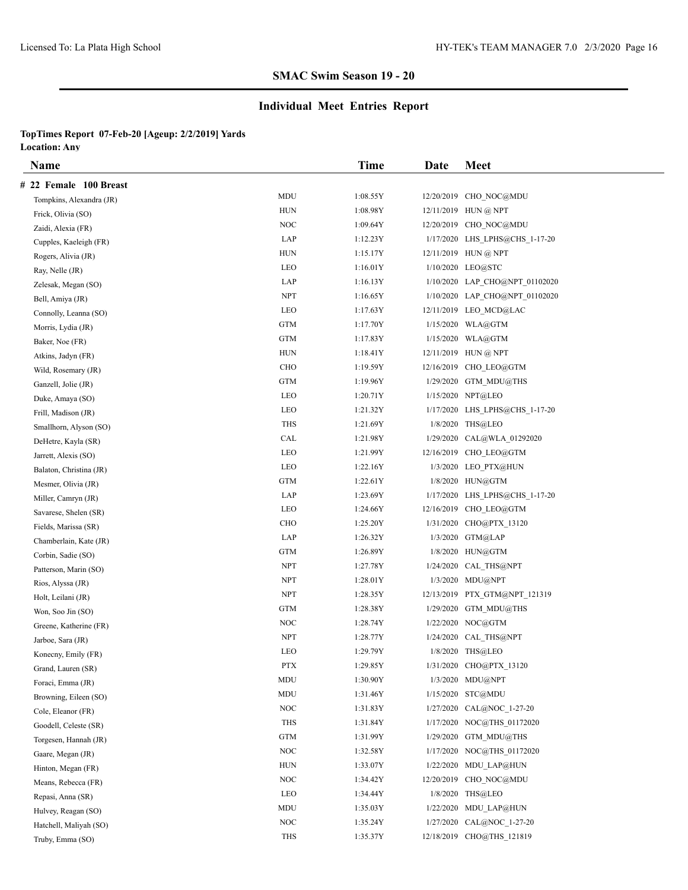# **Individual Meet Entries Report**

| Name                     |                      | <b>Time</b> | Date      | <b>Meet</b>                    |
|--------------------------|----------------------|-------------|-----------|--------------------------------|
| # 22 Female 100 Breast   |                      |             |           |                                |
| Tompkins, Alexandra (JR) | MDU                  | 1:08.55Y    |           | 12/20/2019 CHO NOC@MDU         |
| Frick, Olivia (SO)       | <b>HUN</b>           | 1:08.98Y    |           | 12/11/2019 HUN @ NPT           |
| Zaidi, Alexia (FR)       | <b>NOC</b>           | 1:09.64Y    |           | 12/20/2019 CHO NOC@MDU         |
| Cupples, Kaeleigh (FR)   | LAP                  | 1:12.23Y    |           | 1/17/2020 LHS_LPHS@CHS_1-17-20 |
| Rogers, Alivia (JR)      | HUN                  | 1:15.17Y    |           | 12/11/2019 HUN @ NPT           |
| Ray, Nelle (JR)          | LEO                  | 1:16.01Y    |           | 1/10/2020 LEO@STC              |
| Zelesak, Megan (SO)      | LAP                  | 1:16.13Y    |           | 1/10/2020 LAP_CHO@NPT_01102020 |
| Bell, Amiya (JR)         | <b>NPT</b>           | 1:16.65Y    |           | 1/10/2020 LAP CHO@NPT 01102020 |
| Connolly, Leanna (SO)    | LEO                  | 1:17.63Y    |           | 12/11/2019 LEO MCD@LAC         |
| Morris, Lydia (JR)       | GTM                  | 1:17.70Y    |           | 1/15/2020 WLA@GTM              |
| Baker, Noe (FR)          | <b>GTM</b>           | 1:17.83Y    |           | 1/15/2020 WLA@GTM              |
| Atkins, Jadyn (FR)       | ${\rm HUN}$          | 1:18.41Y    |           | 12/11/2019 HUN @ NPT           |
| Wild, Rosemary (JR)      | <b>CHO</b>           | 1:19.59Y    |           | 12/16/2019 CHO LEO@GTM         |
| Ganzell, Jolie (JR)      | GTM                  | 1:19.96Y    |           | 1/29/2020 GTM_MDU@THS          |
| Duke, Amaya (SO)         | LEO                  | 1:20.71Y    |           | 1/15/2020 NPT@LEO              |
| Frill, Madison (JR)      | LEO                  | 1:21.32Y    |           | 1/17/2020 LHS_LPHS@CHS_1-17-20 |
| Smallhorn, Alyson (SO)   | <b>THS</b>           | 1:21.69Y    |           | 1/8/2020 THS@LEO               |
| DeHetre, Kayla (SR)      | CAL                  | 1:21.98Y    | 1/29/2020 | CAL@WLA_01292020               |
| Jarrett, Alexis (SO)     | <b>LEO</b>           | 1:21.99Y    |           | 12/16/2019 CHO LEO@GTM         |
| Balaton, Christina (JR)  | LEO                  | 1:22.16Y    |           | 1/3/2020 LEO PTX@HUN           |
| Mesmer, Olivia (JR)      | GTM                  | 1:22.61Y    |           | 1/8/2020 HUN@GTM               |
| Miller, Camryn (JR)      | LAP                  | 1:23.69Y    |           | 1/17/2020 LHS_LPHS@CHS_1-17-20 |
| Savarese, Shelen (SR)    | LEO                  | 1:24.66Y    |           | 12/16/2019 CHO LEO@GTM         |
| Fields, Marissa (SR)     | <b>CHO</b>           | 1:25.20Y    |           | 1/31/2020 CHO@PTX 13120        |
| Chamberlain, Kate (JR)   | LAP                  | 1:26.32Y    |           | 1/3/2020 GTM@LAP               |
| Corbin, Sadie (SO)       | GTM                  | 1:26.89Y    |           | 1/8/2020 HUN@GTM               |
| Patterson, Marin (SO)    | <b>NPT</b>           | 1:27.78Y    |           | 1/24/2020 CAL_THS@NPT          |
| Rios, Alyssa (JR)        | <b>NPT</b>           | 1:28.01Y    |           | $1/3/2020$ MDU@NPT             |
| Holt, Leilani (JR)       | <b>NPT</b>           | 1:28.35Y    |           | 12/13/2019 PTX GTM@NPT 121319  |
| Won, Soo Jin (SO)        | GTM                  | 1:28.38Y    |           | $1/29/2020$ GTM MDU@THS        |
| Greene, Katherine (FR)   | NOC                  | 1:28.74Y    |           | 1/22/2020 NOC@GTM              |
| Jarboe, Sara (JR)        | <b>NPT</b>           | 1:28.77Y    |           | 1/24/2020 CAL THS@NPT          |
| Konecny, Emily (FR)      | <b>LEO</b>           | 1:29.79Y    |           | 1/8/2020 THS@LEO               |
| Grand, Lauren (SR)       | <b>PTX</b>           | 1:29.85Y    |           | 1/31/2020 CHO@PTX_13120        |
| Foraci, Emma (JR)        | MDU                  | 1:30.90Y    |           | 1/3/2020 MDU@NPT               |
| Browning, Eileen (SO)    | MDU                  | 1:31.46Y    |           | 1/15/2020 STC@MDU              |
| Cole, Eleanor (FR)       | NOC                  | 1:31.83Y    |           | 1/27/2020 CAL@NOC 1-27-20      |
| Goodell, Celeste (SR)    | THS                  | 1:31.84Y    |           | 1/17/2020 NOC@THS 01172020     |
| Torgesen, Hannah (JR)    | $\operatorname{GTM}$ | 1:31.99Y    |           | 1/29/2020 GTM MDU@THS          |
| Gaare, Megan (JR)        | <b>NOC</b>           | 1:32.58Y    |           | 1/17/2020 NOC@THS 01172020     |
| Hinton, Megan (FR)       | HUN                  | 1:33.07Y    |           | 1/22/2020 MDU_LAP@HUN          |
| Means, Rebecca (FR)      | NOC                  | 1:34.42Y    |           | 12/20/2019 CHO NOC@MDU         |
| Repasi, Anna (SR)        | LEO                  | 1:34.44Y    |           | 1/8/2020 THS@LEO               |
| Hulvey, Reagan (SO)      | MDU                  | 1:35.03Y    |           | 1/22/2020 MDU LAP@HUN          |
| Hatchell, Maliyah (SO)   | NOC                  | 1:35.24Y    |           | 1/27/2020 CAL@NOC 1-27-20      |
| Truby, Emma (SO)         | THS                  | 1:35.37Y    |           | 12/18/2019 CHO@THS 121819      |
|                          |                      |             |           |                                |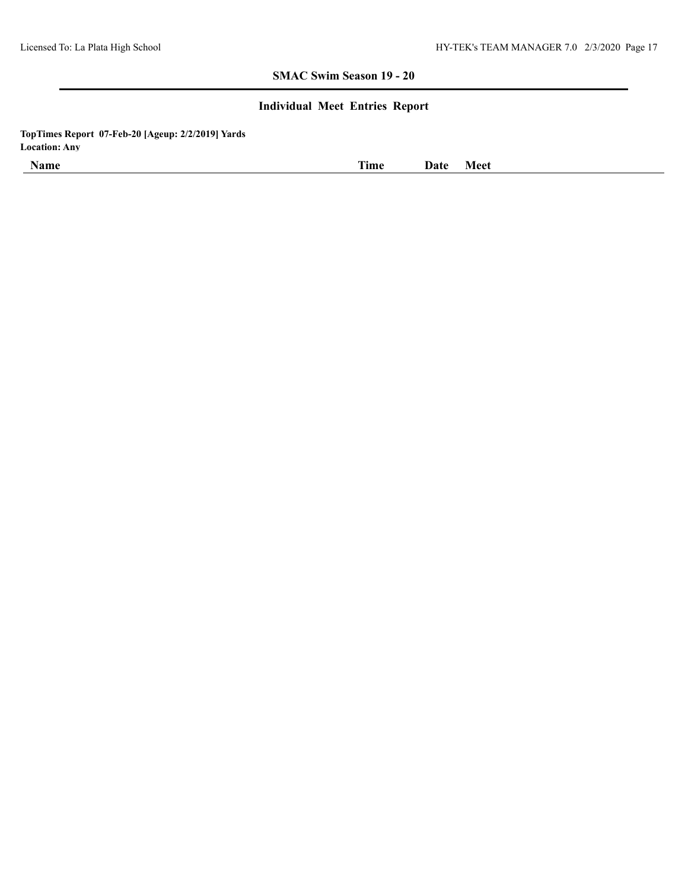### **Individual Meet Entries Report**

| - -<br><b>Name</b> | <b>COLLEGE</b><br>11me | Date | Meet |
|--------------------|------------------------|------|------|
|                    |                        |      |      |